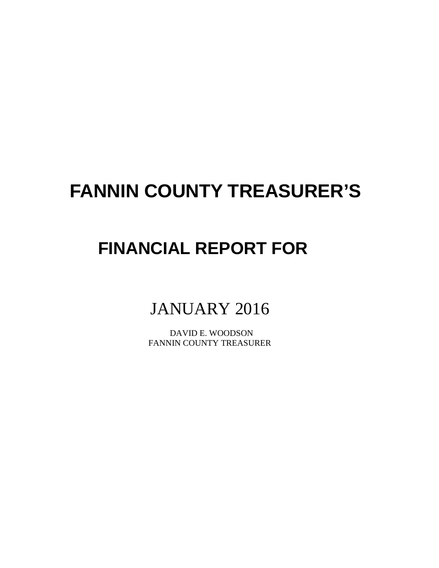# **FANNIN COUNTY TREASURER'S**

## **FINANCIAL REPORT FOR**

## JANUARY 2016

 DAVID E. WOODSON FANNIN COUNTY TREASURER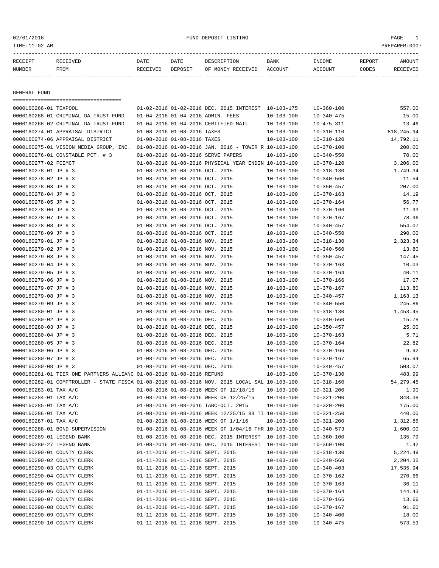#### 02/01/2016 PAGE 1 PAGE 1

| RECEIPT | RECEIVED | DATE            | DATE    | DESCRIPTION          | <b>BANK</b> | <b>TNCOME</b> | REPORT | AMOUNT |
|---------|----------|-----------------|---------|----------------------|-------------|---------------|--------|--------|
| NUMBER  | FROM     | <b>RECEIVED</b> | DEPOSIT | RECEIVED<br>OF MONEY | ACCOUNT     | ACCOUNT       | CODES  | I VED  |
|         |          |                 |         |                      |             |               |        |        |

GENERAL FUND

=================================== 0000160266-01 TEXPOOL 01-02-2016 01-02-2016 DEC. 2015 INTEREST 10-103-175 10-360-100 557.00 0000160268-01 CRIMINAL DA TRUST FUND 01-04-2016 01-04-2016 ADMIN. FEES 10-103-100 10-340-475 15.00 0000160268-02 CRIMINAL DA TRUST FUND 01-04-2016 01-04-2016 CERTIFIED MAIL 10-103-100 10-475-311 13.46 0000160274-01 APPRAISAL DISTRICT 01-08-2016 01-08-2016 TAXES 10-103-100 10-310-110 818,245.94 0000160274-06 APPRAISAL DISTRICT 01-08-2016 01-08-2016 TAXES 10-103-100 10-310-120 14,792.11 0000160275-01 VISION MEDIA GROUP, INC. 01-08-2016 01-08-2016 JAN. 2016 - TOWER R 10-103-100 10-370-100 200.00 0000160276-01 CONSTABLE PCT. # 3 01-08-2016 01-08-2016 SERVE PAPERS 10-103-100 10-340-550 70.00 0000160277-02 FCIMCT 01-08-2016 01-08-2016 PHYSICAL YEAR ENDIN 10-103-100 10-370-120 3,206.00 0000160278-01 JP # 3 01-08-2016 01-08-2016 OCT. 2015 10-103-100 10-318-130 1,749.34 0000160278-02 JP # 3 01-08-2016 01-08-2016 OCT. 2015 10-103-100 10-340-560 11.54 0000160278-03 JP # 3 01-08-2016 01-08-2016 0CT. 2015 10-103-100 10-350-457 207.00 0000160278-04 JP # 3 01-08-2016 01-08-2016 OCT. 2015 10-103-100 10-370-163 14.19 0000160278-05 JP # 3 01-08-2016 01-08-2016 OCT. 2015 10-103-100 10-370-164 56.77 0000160278-06 JP # 3 01-08-2016 01-08-2016 OCT. 2015 10-103-100 10-370-166 11.93 0000160278-07 JP # 3 01-08-2016 01-08-2016 OCT. 2015 10-103-100 10-370-167 78.96 0000160278-08 JP # 3 01-08-2016 01-08-2016 OCT. 2015 10-103-100 10-340-457 554.07 0000160278-09 JP # 3 01-08-2016 01-08-2016 OCT. 2015 10-103-100 10-340-550 290.00 0000160279-01 JP # 3 01-08-2016 01-08-2016 NOV. 2015 10-103-100 10-318-130 2,323.34 0000160279-02 JP # 3 01-08-2016 01-08-2016 NOV. 2015 10-103-100 10-340-560 13.80 0000160279-03 JP # 3 01-08-2016 01-08-2016 NOV. 2015 10-103-100 10-350-457 147.45 0000160279-04 JP # 3 01-08-2016 01-08-2016 NOV. 2015 10-103-100 10-370-163 10.03 0000160279-05 JP # 3 01-08-2016 01-08-2016 NOV. 2015 10-103-100 10-370-164 40.11 0000160279-06 JP # 3 01-08-2016 01-08-2016 NOV. 2015 10-103-100 10-370-166 17.07 0000160279-07 JP # 3 01-08-2016 01-08-2016 NOV. 2015 10-103-100 10-370-167 113.80 0000160279-08 JP # 3 01-08-2016 01-08-2016 NOV. 2015 10-103-100 10-340-457 1,163.13 0000160279-09 JP # 3 01-08-2016 01-08-2016 NOV. 2015 10-103-100 10-340-550 245.86 0000160280-01 JP # 3 01-08-2016 01-08-2016 DEC. 2015 10-103-100 10-318-130 1,453.45 0000160280-02 JP # 3 01-08-2016 01-08-2016 DEC. 2015 10-103-100 10-340-560 15.78 0000160280-03 JP # 3 01-08-2016 01-08-2016 DEC. 2015 10-103-100 10-350-457 25.00 0000160280-04 JP # 3 01-08-2016 01-08-2016 DEC. 2015 10-103-100 10-370-163 5.71 0000160280-05 JP # 3 01-08-2016 01-08-2016 DEC. 2015 10-103-100 10-370-164 22.82 0000160280-06 JP # 3 01-08-2016 01-08-2016 DEC. 2015 10-103-100 10-370-166 9.92 0000160280-07 JP # 3 01-08-2016 01-08-2016 DEC. 2015 10-103-100 10-370-167 65.94 0000160280-08 JP # 3 01-08-2016 01-08-2016 DEC. 2015 10-103-100 10-340-457 503.07 0000160281-01 TIER ONE PARTNERS ALLIANC 01-08-2016 01-08-2016 REFUND 10-103-100 10-370-130 483.99 0000160282-01 COMPTROLLER - STATE FISCA 01-08-2016 01-08-2016 NOV. 2015 LOCAL SAL 10-103-100 10-318-160 54,279.45 0000160283-01 TAX A/C 01-08-2016 01-08-2016 WEEK OF 12/18/15 10-103-100 10-321-200 1.90 0000160284-01 TAX A/C 01-08-2016 01-08-2016 WEEK OF 12/25/15 10-103-100 10-321-200 848.38 0000160285-01 TAX A/C 01-08-2016 01-08-2016 TABC-OCT. 2015 10-103-100 10-320-200 175.00 0000160286-01 TAX A/C 01-08-2016 01-08-2016 WEEK 12/25/15 88 TI 10-103-100 10-321-250 440.00 0000160287-01 TAX A/C 01-08-2016 01-08-2016 WEEK OF  $1/1/16$  10-103-100 10-321-200 1,312.85 0000160288-01 BOND SUPERVISION 01-08-2016 01-08-2016 WEEK OF 1/04/16 THR 10-103-100 10-340-573 1,600.00 0000160289-01 LEGEND BANK 01-08-2016 01-08-2016 DEC. 2015 INTEREST 10-103-100 10-360-100 135.79 0000160289-27 LEGEND BANK 01-08-2016 01-08-2016 DEC. 2015 INTEREST 10-100-100 10-360-100 1.42 0000160290-01 COUNTY CLERK 01-11-2016 01-11-2016 SEPT. 2015 10-103-100 10-318-130 5,224.49 0000160290-02 COUNTY CLERK 01-11-2016 01-11-2016 SEPT. 2015 10-103-100 10-340-560 2,204.35 0000160290-03 COUNTY CLERK 01-11-2016 01-11-2016 SEPT. 2015 10-103-100 10-340-403 17,535.94 0000160290-04 COUNTY CLERK 01-11-2016 01-11-2016 SEPT. 2015 10-103-100 10-370-162 270.66 0000160290-05 COUNTY CLERK 01-11-2016 01-11-2016 SEPT. 2015 10-103-100 10-370-163 36.11 0000160290-06 COUNTY CLERK 01-11-2016 01-11-2016 SEPT. 2015 10-103-100 10-370-164 144.43 0000160290-07 COUNTY CLERK 01-11-2016 01-11-2016 SEPT. 2015 010-103-100 10-370-166 13.66 0000160290-08 COUNTY CLERK 01-11-2016 01-11-2016 SEPT. 2015 10-103-100 10-370-167 91.60 0000160290-09 COUNTY CLERK 01-11-2016 01-11-2016 SEPT. 2015 10-103-100 10-340-400 18.00 0000160290-10 COUNTY CLERK 01-11-2016 01-11-2016 SEPT. 2015 10-103-100 10-340-475 573.53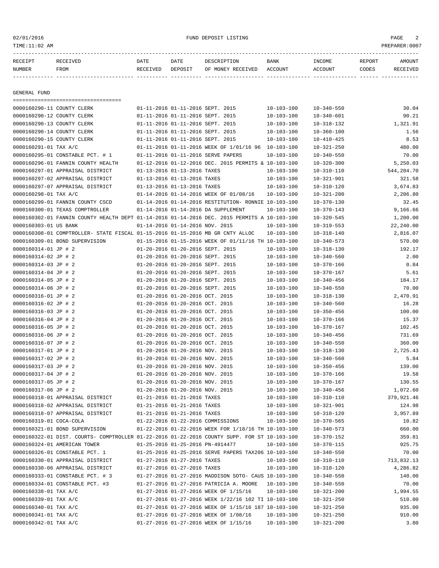#### 02/01/2016 FUND DEPOSIT LISTING PAGE 2

| RECEIPT                                                  | RECEIVED                              | DATE     | DATE                       | DESCRIPTION                                  | <b>BANK</b>      | INCOME           | REPORT | AMOUNT   |
|----------------------------------------------------------|---------------------------------------|----------|----------------------------|----------------------------------------------|------------------|------------------|--------|----------|
| NUMBER                                                   | FROM                                  | RECEIVED | DEPOSIT                    | OF MONEY RECEIVED                            | ACCOUNT          | ACCOUNT          | CODES  | RECEIVED |
|                                                          |                                       |          |                            |                                              |                  |                  |        |          |
|                                                          |                                       |          |                            |                                              |                  |                  |        |          |
| GENERAL FUND                                             |                                       |          |                            |                                              |                  |                  |        |          |
|                                                          | ,,,,,,,,,,,,,,,,,,,,,,,,,,,,,,,,,,,,, |          |                            |                                              |                  |                  |        |          |
| 0000160290-11 COUNTY CLERK                               |                                       |          |                            | $01 - 11 - 2016$ $01 - 11 - 2016$ SEPT, 2015 | $10 - 103 - 100$ | $10 - 340 - 550$ |        | 30.04    |
| 0000160290-12 COUNTY CLERK                               |                                       |          |                            | 01-11-2016 01-11-2016 SEPT. 2015             | $10 - 103 - 100$ | $10 - 340 - 601$ |        | 90.21    |
| $0.000160200$ 12 $0.01$ $\mu$ m $\sigma$ $\tau$ $\sigma$ |                                       |          | 01 11 2016 01 11 2016 CEDT | 201E                                         | 10 102 100       | 10 210 122       |        | 1 221 01 |

| OOODTOOSAO-TS COOMIX CHEKK                                                                   |                                 | 01-11-3010 01-11-3010 SEPI. 3013                     | TO-TOS-TOO       | 10-340-001       | <b>90.ZI</b> |
|----------------------------------------------------------------------------------------------|---------------------------------|------------------------------------------------------|------------------|------------------|--------------|
| 0000160290-13 COUNTY CLERK                                                                   |                                 | 01-11-2016 01-11-2016 SEPT. 2015                     | $10 - 103 - 100$ | $10 - 318 - 132$ | 1,321.91     |
| 0000160290-14 COUNTY CLERK                                                                   |                                 | 01-11-2016 01-11-2016 SEPT. 2015                     | $10 - 103 - 100$ | $10 - 360 - 100$ | 1.56         |
| 0000160290-15 COUNTY CLERK                                                                   |                                 | 01-11-2016 01-11-2016 SEPT. 2015                     | $10 - 103 - 100$ | $10 - 410 - 425$ | 8.53         |
| 0000160291-01 TAX A/C                                                                        |                                 | 01-11-2016 01-11-2016 WEEK OF 1/01/16 96 10-103-100  |                  | $10 - 321 - 250$ | 480.00       |
| 0000160295-01 CONSTABLE PCT. # 1                                                             |                                 | 01-11-2016 01-11-2016 SERVE PAPERS                   | $10 - 103 - 100$ | $10 - 340 - 550$ | 70.00        |
| 0000160296-01 FANNIN COUNTY HEALTH                                                           |                                 | 01-12-2016 01-12-2016 DEC. 2015 PERMITS & 10-103-100 |                  | $10 - 320 - 300$ | 5,250.03     |
| 0000160297-01 APPRAISAL DISTRICT                                                             | 01-13-2016 01-13-2016 TAXES     |                                                      | $10 - 103 - 100$ | $10 - 310 - 110$ | 544,204.70   |
| 0000160297-02 APPRAISAL DISTRICT                                                             | 01-13-2016 01-13-2016 TAXES     |                                                      | $10 - 103 - 100$ | $10 - 321 - 901$ | 321.58       |
| 0000160297-07 APPRAISAL DISTRICT                                                             | 01-13-2016 01-13-2016 TAXES     |                                                      | $10 - 103 - 100$ | $10 - 310 - 120$ | 3,674.83     |
| 0000160298-01 TAX A/C                                                                        |                                 | 01-14-2016 01-14-2016 WEEK OF 01/08/16               | $10 - 103 - 100$ | $10 - 321 - 200$ | 2,206.80     |
| 0000160299-01 FANNIN COUNTY CSCD                                                             |                                 | 01-14-2016 01-14-2016 RESTITUTION- RONNIE 10-103-100 |                  | $10 - 370 - 130$ | 32.45        |
| 0000160300-01 TEXAS COMPTROLLER                                                              |                                 | 01-14-2016 01-14-2016 DA SUPPLEMENT                  | $10 - 103 - 100$ | $10 - 370 - 143$ | 9,166.66     |
| 0000160302-01 FANNIN COUNTY HEALTH DEPT 01-14-2016 01-14-2016 DEC. 2015 PERMITS A 10-103-100 |                                 |                                                      |                  | $10 - 320 - 545$ | 1,200.00     |
| 0000160303-01 US BANK                                                                        | 01-14-2016 01-14-2016 NOV. 2015 |                                                      | $10 - 103 - 100$ | $10 - 319 - 553$ | 22,240.00    |
| 0000160308-01 COMPTROLLER- STATE FISCAL 01-15-2016 01-15-2016 MB GR CNTY ALLOC               |                                 |                                                      | $10 - 103 - 100$ | $10 - 318 - 140$ | 2,816.07     |
| 0000160309-01 BOND SUPERVISION                                                               |                                 | 01-15-2016 01-15-2016 WEEK OF 01/11/16 TH 10-103-100 |                  | $10 - 340 - 573$ | 570.00       |
| 0000160314-01 JP # 2                                                                         |                                 | 01-20-2016 01-20-2016 SEPT. 2015                     | $10 - 103 - 100$ | $10 - 318 - 130$ | 192.17       |
| 0000160314-02 JP # 2                                                                         |                                 | 01-20-2016 01-20-2016 SEPT. 2015                     | $10 - 103 - 100$ | $10 - 340 - 560$ | 2.00         |
| 0000160314-03 JP # 2                                                                         |                                 | 01-20-2016 01-20-2016 SEPT. 2015                     | $10 - 103 - 100$ | $10 - 370 - 166$ | 0.84         |
| 0000160314-04 JP # 2                                                                         |                                 | 01-20-2016 01-20-2016 SEPT. 2015                     | $10 - 103 - 100$ | $10 - 370 - 167$ | 5.61         |
|                                                                                              |                                 | 01-20-2016 01-20-2016 SEPT. 2015                     | $10 - 103 - 100$ |                  |              |
| 0000160314-05 JP # 2                                                                         |                                 |                                                      |                  | $10 - 340 - 456$ | 184.17       |
| 0000160314-06 JP # 2                                                                         |                                 | 01-20-2016 01-20-2016 SEPT. 2015                     | $10 - 103 - 100$ | $10 - 340 - 550$ | 70.00        |
| 0000160316-01 JP # 2                                                                         | 01-20-2016 01-20-2016 OCT. 2015 |                                                      | $10 - 103 - 100$ | $10 - 318 - 130$ | 2,470.91     |
| 0000160316-02 JP # 2                                                                         | 01-20-2016 01-20-2016 OCT. 2015 |                                                      | $10 - 103 - 100$ | $10 - 340 - 560$ | 16.28        |
| 0000160316-03 JP # 2                                                                         | 01-20-2016 01-20-2016 OCT. 2015 |                                                      | $10 - 103 - 100$ | $10 - 350 - 456$ | 100.00       |
| 0000160316-04 JP # 2                                                                         | 01-20-2016 01-20-2016 OCT. 2015 |                                                      | $10 - 103 - 100$ | $10 - 370 - 166$ | 15.37        |
| 0000160316-05 JP # 2                                                                         | 01-20-2016 01-20-2016 OCT. 2015 |                                                      | $10 - 103 - 100$ | 10-370-167       | 102.45       |
| 0000160316-06 JP # 2                                                                         | 01-20-2016 01-20-2016 OCT. 2015 |                                                      | $10 - 103 - 100$ | $10 - 340 - 456$ | 731.69       |
| 0000160316-07 JP # 2                                                                         | 01-20-2016 01-20-2016 OCT. 2015 |                                                      | $10 - 103 - 100$ | $10 - 340 - 550$ | 360.00       |
| 0000160317-01 JP # 2                                                                         | 01-20-2016 01-20-2016 NOV. 2015 |                                                      | $10 - 103 - 100$ | $10 - 318 - 130$ | 2,725.43     |
| 0000160317-02 JP # 2                                                                         | 01-20-2016 01-20-2016 NOV. 2015 |                                                      | $10 - 103 - 100$ | $10 - 340 - 560$ | 5.84         |
| 0000160317-03 JP # 2                                                                         | 01-20-2016 01-20-2016 NOV. 2015 |                                                      | $10 - 103 - 100$ | $10 - 350 - 456$ | 139.00       |
| 0000160317-04 JP # 2                                                                         | 01-20-2016 01-20-2016 NOV. 2015 |                                                      | $10 - 103 - 100$ | $10 - 370 - 166$ | 19.58        |
| 0000160317-05 JP # 2                                                                         | 01-20-2016 01-20-2016 NOV. 2015 |                                                      | $10 - 103 - 100$ | $10 - 370 - 167$ | 130.55       |
| 0000160317-06 JP # 2                                                                         | 01-20-2016 01-20-2016 NOV. 2015 |                                                      | $10 - 103 - 100$ | $10 - 340 - 456$ | 1,072.60     |
| 0000160318-01 APPRAISAL DISTRICT                                                             | 01-21-2016 01-21-2016 TAXES     |                                                      | $10 - 103 - 100$ | $10 - 310 - 110$ | 379,921.46   |
| 0000160318-02 APPRAISAL DISTRICT                                                             | 01-21-2016 01-21-2016 TAXES     |                                                      | $10 - 103 - 100$ | $10 - 321 - 901$ | 124.98       |
| 0000160318-07 APPRAISAL DISTRICT                                                             | 01-21-2016 01-21-2016 TAXES     |                                                      | $10 - 103 - 100$ | $10 - 310 - 120$ | 3,957.89     |
| 0000160319-01 COCA-COLA                                                                      |                                 | 01-22-2016 01-22-2016 COMMISSIONS                    | $10 - 103 - 100$ | $10 - 370 - 565$ | 10.82        |
| 0000160321-01 BOND SUPERVISION                                                               |                                 | 01-22-2016 01-22-2016 WEEK FOR 1/18/16 TH 10-103-100 |                  | $10 - 340 - 573$ | 660.00       |
| 0000160322-01 DIST. COURTS- COMPTROLLER 01-22-2016 01-22-2016 COUNTY SUPP. FOR ST 10-103-100 |                                 |                                                      |                  | $10 - 370 - 152$ | 359.81       |
| 0000160324-01 AMERICAN TOWER                                                                 |                                 | 01-25-2016 01-25-2016 PN-4914477                     | $10 - 103 - 100$ | $10 - 370 - 115$ | 925.75       |
| 0000160326-01 CONSTABLE PCT. 1                                                               |                                 | 01-25-2016 01-25-2016 SERVE PAPERS TAX206 10-103-100 |                  | $10 - 340 - 550$ | 70.00        |
| 0000160330-01 APPRAISAL DISTRICT                                                             | 01-27-2016 01-27-2016 TAXES     |                                                      | $10 - 103 - 100$ | $10 - 310 - 110$ | 713,832.13   |
| 0000160330-06 APPRAISAL DISTRICT                                                             | 01-27-2016 01-27-2016 TAXES     |                                                      | $10 - 103 - 100$ | $10 - 310 - 120$ | 4,286.82     |
| 0000160333-01 CONSTABLE PCT. # 3                                                             |                                 | 01-27-2016 01-27-2016 MADDISON SOTO- CAUS 10-103-100 |                  | $10 - 340 - 550$ | 140.00       |
| 0000160334-01 CONSTABLE PCT. #3                                                              |                                 | 01-27-2016 01-27-2016 PATRICIA A. MOORE              | $10 - 103 - 100$ | $10 - 340 - 550$ | 70.00        |
| 0000160338-01 TAX A/C                                                                        |                                 | 01-27-2016 01-27-2016 WEEK OF 1/15/16                | $10 - 103 - 100$ | $10 - 321 - 200$ | 1,994.55     |
| 0000160339-01 TAX A/C                                                                        |                                 | 01-27-2016 01-27-2016 WEEK 1/22/16 102 TI 10-103-100 |                  | $10 - 321 - 250$ | 510.00       |
| 0000160340-01 TAX A/C                                                                        |                                 | 01-27-2016 01-27-2016 WEEK OF 1/15/16 187 10-103-100 |                  |                  | 935.00       |
|                                                                                              |                                 |                                                      |                  | $10 - 321 - 250$ |              |
| 0000160341-01 TAX A/C                                                                        |                                 | 01-27-2016 01-27-2016 WEEK OF 1/08/16                | $10 - 103 - 100$ | $10 - 321 - 250$ | 910.00       |
| 0000160342-01 TAX A/C                                                                        |                                 | 01-27-2016 01-27-2016 WEEK OF 1/15/16                | $10 - 103 - 100$ | $10 - 321 - 200$ | 3.80         |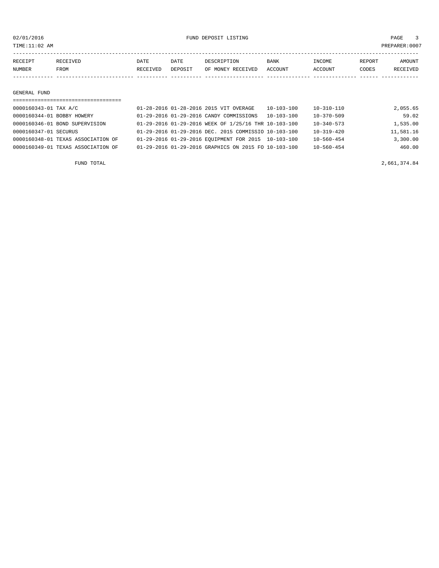02/01/2016 FUND DEPOSIT LISTING PAGE 3

| RECEIPT | <b>RECEIVED</b> | DATE     | DATE    | DESCRIPTION       | <b>BANK</b> | INCOME  | REPORT | AMOUNT          |
|---------|-----------------|----------|---------|-------------------|-------------|---------|--------|-----------------|
| NUMBER  | FROM            | RECEIVED | DEPOSIT | OF MONEY RECEIVED | ACCOUNT     | ACCOUNT | CODES  | <b>RECEIVED</b> |
|         |                 |          |         |                   |             |         |        |                 |

#### GENERAL FUND

| ---------------------------------  |                                                      |                  |                  |           |  |  |  |  |
|------------------------------------|------------------------------------------------------|------------------|------------------|-----------|--|--|--|--|
| 0000160343-01 TAX A/C              | 01-28-2016 01-28-2016 2015 VIT OVERAGE               | $10 - 103 - 100$ | 10-310-110       | 2,055.65  |  |  |  |  |
| 0000160344-01 BOBBY HOWERY         | 01-29-2016 01-29-2016 CANDY COMMISSIONS              | $10 - 103 - 100$ | $10 - 370 - 509$ | 59.02     |  |  |  |  |
| 0000160346-01 BOND SUPERVISION     | 01-29-2016 01-29-2016 WEEK OF 1/25/16 THR 10-103-100 |                  | $10 - 340 - 573$ | 1,535.00  |  |  |  |  |
| 0000160347-01 SECURUS              | 01-29-2016 01-29-2016 DEC. 2015 COMMISSIO 10-103-100 |                  | $10 - 319 - 420$ | 11,581.16 |  |  |  |  |
| 0000160348-01 TEXAS ASSOCIATION OF | 01-29-2016 01-29-2016 EQUIPMENT FOR 2015 10-103-100  |                  | $10 - 560 - 454$ | 3,300.00  |  |  |  |  |
| 0000160349-01 TEXAS ASSOCIATION OF | 01-29-2016 01-29-2016 GRAPHICS ON 2015 FO 10-103-100 |                  | $10 - 560 - 454$ | 460.00    |  |  |  |  |
|                                    |                                                      |                  |                  |           |  |  |  |  |

FUND TOTAL 2,661,374.84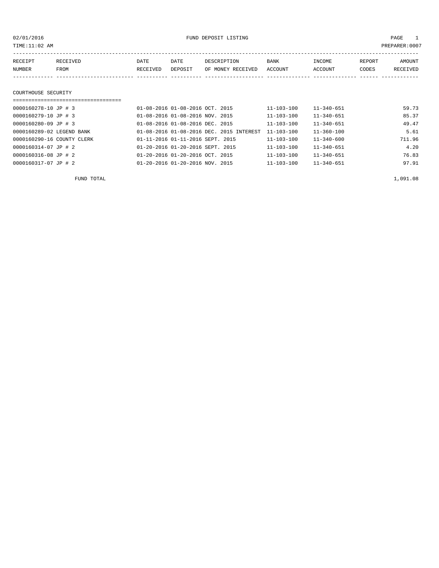PAGE 1<br>PREPARER:0007

| 02/01/2016           |          |          | FUND DEPOSIT LISTING            |                   |                  |                  |        | PAGE            |  |  |
|----------------------|----------|----------|---------------------------------|-------------------|------------------|------------------|--------|-----------------|--|--|
| TIME:11:02 AM        |          |          |                                 |                   |                  |                  |        | PREPARER:000    |  |  |
|                      |          |          |                                 |                   |                  |                  |        |                 |  |  |
| RECEIPT              | RECEIVED | DATE     | DATE                            | DESCRIPTION       | <b>BANK</b>      | INCOME           | REPORT | AMOUNT          |  |  |
| NUMBER               | FROM     | RECEIVED | DEPOSIT                         | OF MONEY RECEIVED | ACCOUNT          | ACCOUNT          | CODES  | <b>RECEIVED</b> |  |  |
|                      |          |          |                                 |                   |                  |                  |        |                 |  |  |
|                      |          |          |                                 |                   |                  |                  |        |                 |  |  |
| COURTHOUSE SECURITY  |          |          |                                 |                   |                  |                  |        |                 |  |  |
|                      |          |          |                                 |                   |                  |                  |        |                 |  |  |
| 0000160278-10 JP # 3 |          |          | 01-08-2016 01-08-2016 OCT. 2015 |                   | $11 - 103 - 100$ | $11 - 340 - 651$ |        | 59.73           |  |  |
| 0000160279-10 JP # 3 |          |          | 01-08-2016 01-08-2016 NOV. 2015 |                   | $11 - 103 - 100$ | $11 - 340 - 651$ |        | 85.37           |  |  |

| C # JU UL-KIOUZ OD LUDUU   | UI-U8-ZUIG UI-U8-ZUIG NUV. ZUIS                     | TT-TOR-TOO       | 11-340-001       | 89.37  |
|----------------------------|-----------------------------------------------------|------------------|------------------|--------|
| 0000160280-09 JP # 3       | 01-08-2016 01-08-2016 DEC. 2015                     | 11-103-100       | $11 - 340 - 651$ | 49.47  |
| 0000160289-02 LEGEND BANK  | 01-08-2016 01-08-2016 DEC. 2015 INTEREST 11-103-100 |                  | $11 - 360 - 100$ | 5.61   |
| 0000160290-16 COUNTY CLERK | 01-11-2016 01-11-2016 SEPT. 2015                    | $11 - 103 - 100$ | $11 - 340 - 600$ | 711.96 |
| 0000160314-07 JP # 2       | 01-20-2016 01-20-2016 SEPT. 2015                    | $11 - 103 - 100$ | $11 - 340 - 651$ | 4.20   |
| 0000160316-08 JP # 2       | 01-20-2016 01-20-2016 OCT. 2015                     | $11 - 103 - 100$ | $11 - 340 - 651$ | 76.83  |
| 0000160317-07 JP # 2       | 01-20-2016 01-20-2016 NOV. 2015                     | $11 - 103 - 100$ | $11 - 340 - 651$ | 97.91  |
|                            |                                                     |                  |                  |        |

FUND TOTAL  $1,091.08$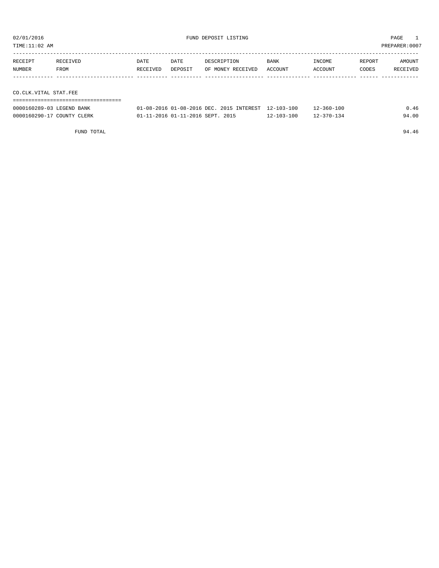TIME:11:02 AM PREPARER:0007

| RECEIPT               | RECEIVED | DATE     | DATE    | DESCRIPTION       | <b>BANK</b> | INCOME  | REPORT | AMOUNT   |  |  |
|-----------------------|----------|----------|---------|-------------------|-------------|---------|--------|----------|--|--|
| <b>NUMBER</b>         | FROM     | RECEIVED | DEPOSIT | OF MONEY RECEIVED | ACCOUNT     | ACCOUNT | CODES  | RECEIVED |  |  |
|                       |          |          |         |                   |             |         |        |          |  |  |
|                       |          |          |         |                   |             |         |        |          |  |  |
| CO.CLK.VITAL STAT.FEE |          |          |         |                   |             |         |        |          |  |  |
|                       |          |          |         |                   |             |         |        |          |  |  |

| 0000160289-03 LEGEND BANK  | 01-08-2016 01-08-2016 DEC. 2015 INTEREST 12-103-100 |                  | $12 - 360 - 100$ | 0.46  |
|----------------------------|-----------------------------------------------------|------------------|------------------|-------|
| 0000160290-17 COUNTY CLERK | 01-11-2016 01-11-2016 SEPT. 2015                    | $12 - 103 - 100$ | $12 - 370 - 134$ | 94.00 |

FUND TOTAL 94.46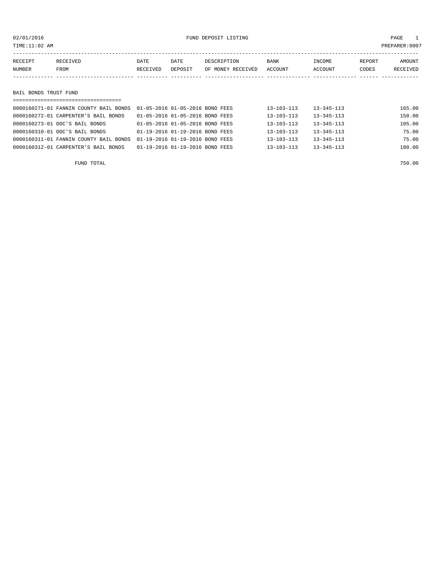| 02/01/2016<br>TIME:11:02 AM |                                                                                | FUND DEPOSIT LISTING |                                                                    |                                  |                                      | PAGE<br>PREPARER: 0007               |                 |                    |  |
|-----------------------------|--------------------------------------------------------------------------------|----------------------|--------------------------------------------------------------------|----------------------------------|--------------------------------------|--------------------------------------|-----------------|--------------------|--|
| RECEIPT<br>NUMBER           | RECEIVED<br>FROM                                                               | DATE<br>RECEIVED     | DATE<br>DEPOSIT                                                    | DESCRIPTION<br>OF MONEY RECEIVED | BANK<br>ACCOUNT                      | INCOME<br>ACCOUNT                    | REPORT<br>CODES | AMOUNT<br>RECEIVED |  |
|                             |                                                                                |                      |                                                                    |                                  |                                      |                                      |                 |                    |  |
| BAIL BONDS TRUST FUND       |                                                                                |                      |                                                                    |                                  |                                      |                                      |                 |                    |  |
|                             | 0000160271-01 FANNIN COUNTY BAIL BONDS<br>0000160272-01 CARPENTER'S BAIL BONDS |                      | 01-05-2016 01-05-2016 BOND FEES<br>01-05-2016 01-05-2016 BOND FEES |                                  | $13 - 103 - 113$<br>$13 - 103 - 113$ | $13 - 345 - 113$<br>$13 - 345 - 113$ |                 | 165.00<br>150.00   |  |

| 0000160273-01 DOC'S BAIL BONDS                                            | 01-05-2016 01-05-2016 BOND FEES | 13-103-113 | $13 - 345 - 113$ | 105.00 |
|---------------------------------------------------------------------------|---------------------------------|------------|------------------|--------|
| 0000160310-01 DOC'S BAIL BONDS                                            | 01-19-2016 01-19-2016 BOND FEES | 13-103-113 | 13-345-113       | 75.00  |
| 0000160311-01 FANNIN COUNTY BAIL BONDS  01-19-2016  01-19-2016  BOND FEES |                                 | 13-103-113 | $13 - 345 - 113$ | 75.00  |
| 0000160312-01 CARPENTER'S BAIL BONDS                                      | 01-19-2016 01-19-2016 BOND FEES | 13-103-113 | $13 - 345 - 113$ | 180.00 |
|                                                                           |                                 |            |                  |        |

FUND TOTAL 750.00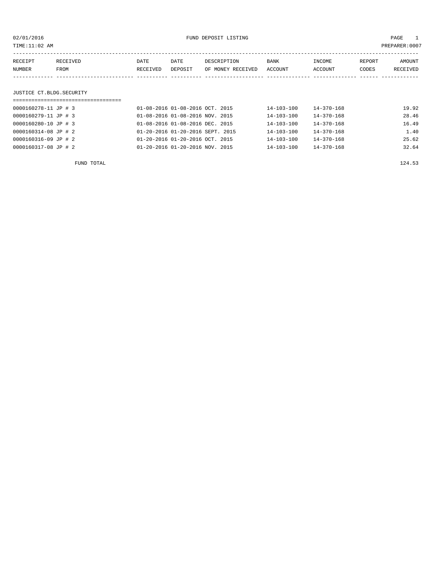| TIME:11:02 AM |                          |                                    |                                 |                                             |                                  |                  |                  | PREPARER:0007 |          |
|---------------|--------------------------|------------------------------------|---------------------------------|---------------------------------------------|----------------------------------|------------------|------------------|---------------|----------|
| RECEIPT       |                          | RECEIVED                           | DATE                            | DATE                                        | DESCRIPTION                      | BANK             | INCOME           | REPORT        | AMOUNT   |
| NUMBER        |                          | FROM                               | RECEIVED                        | DEPOSIT                                     | OF MONEY RECEIVED                | ACCOUNT          | ACCOUNT          | CODES         | RECEIVED |
|               |                          |                                    |                                 |                                             |                                  |                  |                  |               |          |
|               |                          | JUSTICE CT.BLDG.SECURITY           |                                 |                                             |                                  |                  |                  |               |          |
|               |                          | ================================== |                                 |                                             |                                  |                  |                  |               |          |
|               | 0000160278-11 JP # 3     |                                    | 01-08-2016 01-08-2016 OCT. 2015 |                                             |                                  | $14 - 103 - 100$ | $14 - 370 - 168$ |               | 19.92    |
|               | 0000160279-11 JP # 3     |                                    | 01-08-2016 01-08-2016 NOV. 2015 |                                             |                                  | $14 - 103 - 100$ | $14 - 370 - 168$ |               | 28.46    |
|               | 0000160280-10 JP # 3     |                                    |                                 | $01 - 08 - 2016$ $01 - 08 - 2016$ DEC. 2015 |                                  | 14-103-100       | 14-370-168       |               | 16.49    |
|               | $0000160314 - 08$ JP # 2 |                                    |                                 |                                             | 01-20-2016 01-20-2016 SEPT. 2015 | $14 - 103 - 100$ | $14 - 370 - 168$ |               | 1.40     |
|               | 0000160316-09 JP # 2     |                                    |                                 | 01-20-2016 01-20-2016 OCT. 2015             |                                  | 14-103-100       | 14-370-168       |               | 25.62    |
|               | 0000160317-08 JP # 2     |                                    |                                 | $01 - 20 - 2016$ $01 - 20 - 2016$ NOV, 2015 |                                  | 14-103-100       | $14 - 370 - 168$ |               | 32.64    |
|               |                          |                                    |                                 |                                             |                                  |                  |                  |               |          |

FUND TOTAL 124.53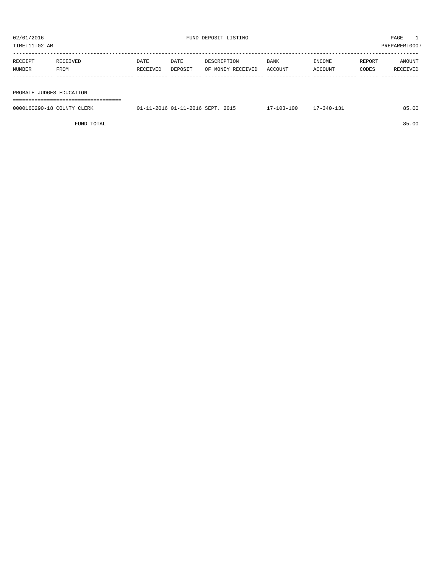| 02/01/2016    |                          |          |         | FUND DEPOSIT LISTING |         | PAGE    |        |                |  |  |
|---------------|--------------------------|----------|---------|----------------------|---------|---------|--------|----------------|--|--|
| TIME:11:02 AM |                          |          |         |                      |         |         |        | PREPARER: 0007 |  |  |
|               |                          |          |         |                      |         |         |        |                |  |  |
| RECEIPT       | RECEIVED                 | DATE     | DATE    | DESCRIPTION          | BANK    | INCOME  | REPORT | AMOUNT         |  |  |
| NUMBER        | FROM                     | RECEIVED | DEPOSIT | OF MONEY RECEIVED    | ACCOUNT | ACCOUNT | CODES  | RECEIVED       |  |  |
|               |                          |          |         |                      |         |         |        |                |  |  |
|               |                          |          |         |                      |         |         |        |                |  |  |
|               | PROBATE JUDGES EDUCATION |          |         |                      |         |         |        |                |  |  |
|               |                          |          |         |                      |         |         |        |                |  |  |

| 0000160290-18 COUNTY CLERK | 01-11-2016 01-11-2016 SEPT. 2015 | $17 - 103 - 100$ | $17 - 340 - 131$ | 85.00 |
|----------------------------|----------------------------------|------------------|------------------|-------|
|                            |                                  |                  |                  |       |

FUND TOTAL 85.00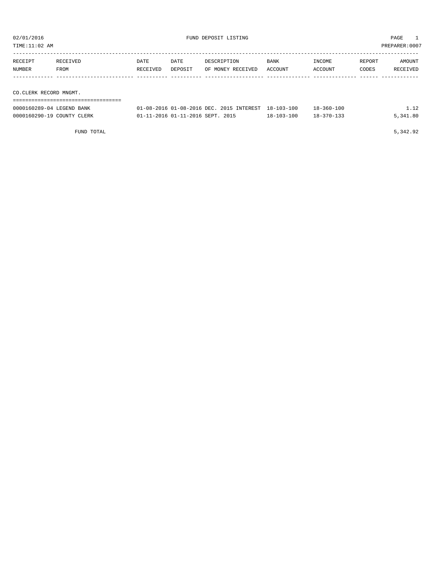| TIME:11:02 AM                                           |                                     |          |                                  |                                          |                                      |                                      |        | PREPARER: 0007   |
|---------------------------------------------------------|-------------------------------------|----------|----------------------------------|------------------------------------------|--------------------------------------|--------------------------------------|--------|------------------|
| RECEIPT                                                 | RECEIVED                            | DATE     | DATE                             | DESCRIPTION                              | <b>BANK</b>                          | INCOME                               | REPORT | AMOUNT           |
| <b>NUMBER</b>                                           | FROM                                | RECEIVED | DEPOSIT                          | OF MONEY RECEIVED                        | ACCOUNT                              | ACCOUNT                              | CODES  | RECEIVED         |
|                                                         |                                     |          |                                  |                                          |                                      |                                      |        |                  |
| CO.CLERK RECORD MNGMT.                                  | ; ================================= |          |                                  |                                          |                                      |                                      |        |                  |
| 0000160289-04 LEGEND BANK<br>0000160290-19 COUNTY CLERK |                                     |          | 01-11-2016 01-11-2016 SEPT. 2015 | 01-08-2016 01-08-2016 DEC. 2015 INTEREST | $18 - 103 - 100$<br>$18 - 103 - 100$ | $18 - 360 - 100$<br>$18 - 370 - 133$ |        | 1.12<br>5,341.80 |
|                                                         |                                     |          |                                  |                                          |                                      |                                      |        |                  |

FUND TOTAL 5,342.92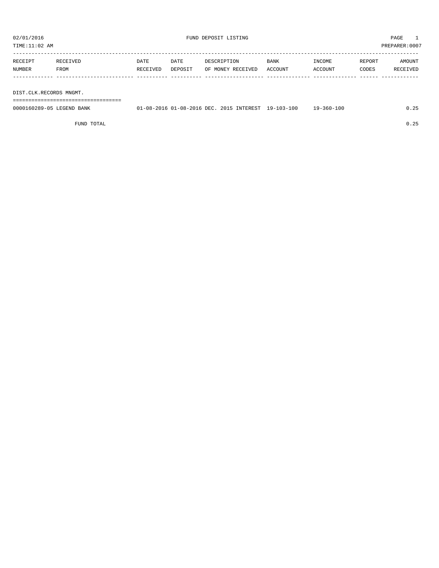TIME:11:02 AM PREPARER:0007

| RECEIPT | RECEIVED    | DATE     | DATE    | DESCRIPTION       | BANK    | INCOME         | REPORT | AMOUNT          |
|---------|-------------|----------|---------|-------------------|---------|----------------|--------|-----------------|
| NUMBER  | <b>FROM</b> | RECEIVED | DEPOSIT | OF MONEY RECEIVED | ACCOUNT | <b>ACCOUNT</b> | CODES  | <b>RECEIVED</b> |
|         |             |          |         |                   |         |                |        |                 |
|         |             |          |         |                   |         |                |        |                 |

DIST.CLK.RECORDS MNGMT.

===================================

| 0000160289-05 LEGEND BANK | 01-08-2016 01-08-2016 DEC. 2015 INTEREST 19-103-100 |  | $19 - 360 - 100$ | 0.25 |
|---------------------------|-----------------------------------------------------|--|------------------|------|
|                           |                                                     |  |                  |      |

FUND TOTAL 0.25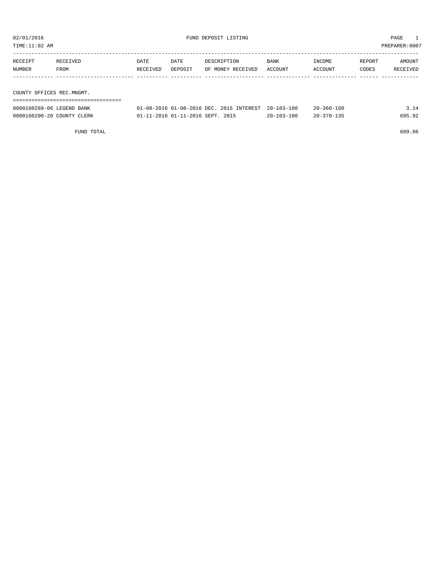| TIME:11:02 AM             |                           |          |         |                                          |            |                  |        | PREPARER: 0007 |
|---------------------------|---------------------------|----------|---------|------------------------------------------|------------|------------------|--------|----------------|
|                           |                           |          |         |                                          |            |                  |        |                |
| RECEIPT                   | RECEIVED                  | DATE     | DATE    | DESCRIPTION                              | BANK       | INCOME           | REPORT | AMOUNT         |
| NUMBER                    | FROM                      | RECEIVED | DEPOSIT | OF MONEY RECEIVED                        | ACCOUNT    | ACCOUNT          | CODES  | RECEIVED       |
|                           |                           |          |         |                                          |            |                  |        |                |
|                           |                           |          |         |                                          |            |                  |        |                |
| COUNTY OFFICES REC.MNGMT. |                           |          |         |                                          |            |                  |        |                |
|                           |                           |          |         |                                          |            |                  |        |                |
|                           | 0000160289-06 LEGEND BANK |          |         | 01-08-2016 01-08-2016 DEC. 2015 INTEREST | 20-103-100 | $20 - 360 - 100$ |        | 3.14           |

0000160290-20 COUNTY CLERK 01-11-2016 01-11-2016 SEPT. 2015 20-103-100 20-370-135 695.92

FUND TOTAL 699.06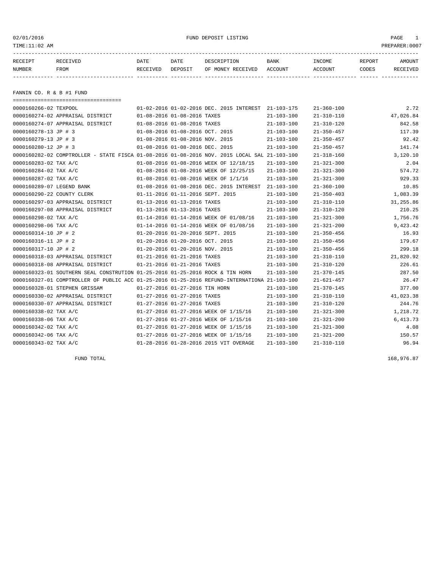| 02/01/2016<br>TIME:11:02 AM |                                                                                              |          |                                  | FUND DEPOSIT LISTING                                |                  |                  |        | PAGE<br>$\mathbf{1}$<br>PREPARER:0007 |
|-----------------------------|----------------------------------------------------------------------------------------------|----------|----------------------------------|-----------------------------------------------------|------------------|------------------|--------|---------------------------------------|
| RECEIPT                     | RECEIVED                                                                                     | DATE     | DATE                             | DESCRIPTION                                         | BANK             | INCOME           | REPORT | AMOUNT                                |
| NUMBER                      | FROM                                                                                         | RECEIVED | DEPOSIT                          | OF MONEY RECEIVED                                   | ACCOUNT          | <b>ACCOUNT</b>   | CODES  | RECEIVED                              |
| FANNIN CO. R & B #1 FUND    | =====================================                                                        |          |                                  |                                                     |                  |                  |        |                                       |
| 0000160266-02 TEXPOOL       |                                                                                              |          |                                  | 01-02-2016 01-02-2016 DEC. 2015 INTEREST 21-103-175 |                  | $21 - 360 - 100$ |        | 2.72                                  |
|                             | 0000160274-02 APPRAISAL DISTRICT                                                             |          | 01-08-2016 01-08-2016 TAXES      |                                                     | $21 - 103 - 100$ | $21 - 310 - 110$ |        | 47,026.84                             |
|                             | 0000160274-07 APPRAISAL DISTRICT                                                             |          | 01-08-2016 01-08-2016 TAXES      |                                                     | $21 - 103 - 100$ | $21 - 310 - 120$ |        | 842.58                                |
| 0000160278-13 JP # 3        |                                                                                              |          | 01-08-2016 01-08-2016 OCT. 2015  |                                                     | $21 - 103 - 100$ | $21 - 350 - 457$ |        | 117.39                                |
| 0000160279-13 JP # 3        |                                                                                              |          | 01-08-2016 01-08-2016 NOV. 2015  |                                                     | $21 - 103 - 100$ | $21 - 350 - 457$ |        | 92.42                                 |
| 0000160280-12 JP # 3        |                                                                                              |          | 01-08-2016 01-08-2016 DEC. 2015  |                                                     | $21 - 103 - 100$ | $21 - 350 - 457$ |        | 141.74                                |
|                             | 0000160282-02 COMPTROLLER - STATE FISCA 01-08-2016 01-08-2016 NOV. 2015 LOCAL SAL 21-103-100 |          |                                  |                                                     |                  | $21 - 318 - 160$ |        | 3,120.10                              |
| 0000160283-02 TAX A/C       |                                                                                              |          |                                  | 01-08-2016 01-08-2016 WEEK OF 12/18/15              | $21 - 103 - 100$ | $21 - 321 - 300$ |        | 2.04                                  |
| 0000160284-02 TAX A/C       |                                                                                              |          |                                  | 01-08-2016 01-08-2016 WEEK OF 12/25/15              | $21 - 103 - 100$ | $21 - 321 - 300$ |        | 574.72                                |
| 0000160287-02 TAX A/C       |                                                                                              |          |                                  | 01-08-2016 01-08-2016 WEEK OF 1/1/16                | $21 - 103 - 100$ | $21 - 321 - 300$ |        | 929.33                                |
| 0000160289-07 LEGEND BANK   |                                                                                              |          |                                  | 01-08-2016 01-08-2016 DEC. 2015 INTEREST 21-103-100 |                  | $21 - 360 - 100$ |        | 10.85                                 |
| 0000160290-22 COUNTY CLERK  |                                                                                              |          | 01-11-2016 01-11-2016 SEPT. 2015 |                                                     | $21 - 103 - 100$ | $21 - 350 - 403$ |        | 1,083.39                              |
|                             | 0000160297-03 APPRAISAL DISTRICT                                                             |          | 01-13-2016 01-13-2016 TAXES      |                                                     | $21 - 103 - 100$ | $21 - 310 - 110$ |        | 31,255.86                             |
|                             | 0000160297-08 APPRAISAL DISTRICT                                                             |          | 01-13-2016 01-13-2016 TAXES      |                                                     | $21 - 103 - 100$ | $21 - 310 - 120$ |        | 210.25                                |
| 0000160298-02 TAX A/C       |                                                                                              |          |                                  | 01-14-2016 01-14-2016 WEEK OF 01/08/16              | $21 - 103 - 100$ | $21 - 321 - 300$ |        | 1,756.76                              |
| 0000160298-06 TAX A/C       |                                                                                              |          |                                  | 01-14-2016 01-14-2016 WEEK OF 01/08/16              | $21 - 103 - 100$ | $21 - 321 - 200$ |        | 9,423.42                              |
| 0000160314-10 JP # 2        |                                                                                              |          | 01-20-2016 01-20-2016 SEPT. 2015 |                                                     | $21 - 103 - 100$ | $21 - 350 - 456$ |        | 16.93                                 |
| 0000160316-11 JP # 2        |                                                                                              |          | 01-20-2016 01-20-2016 OCT. 2015  |                                                     | $21 - 103 - 100$ | $21 - 350 - 456$ |        | 179.67                                |
| 0000160317-10 JP # 2        |                                                                                              |          | 01-20-2016 01-20-2016 NOV. 2015  |                                                     | $21 - 103 - 100$ | $21 - 350 - 456$ |        | 299.18                                |
|                             | 0000160318-03 APPRAISAL DISTRICT                                                             |          | 01-21-2016 01-21-2016 TAXES      |                                                     | $21 - 103 - 100$ | $21 - 310 - 110$ |        | 21,820.92                             |
|                             | 0000160318-08 APPRAISAL DISTRICT                                                             |          | 01-21-2016 01-21-2016 TAXES      |                                                     | $21 - 103 - 100$ | $21 - 310 - 120$ |        | 226.61                                |
|                             | 0000160323-01 SOUTHERN SEAL CONSTRUTION 01-25-2016 01-25-2016 ROCK & TIN HORN                |          |                                  |                                                     | $21 - 103 - 100$ | $21 - 370 - 145$ |        | 287.50                                |
|                             | 0000160327-01 COMPTROLLER OF PUBLIC ACC 01-25-2016 01-25-2016 REFUND-INTERNATIONA 21-103-100 |          |                                  |                                                     |                  | $21 - 621 - 457$ |        | 26.47                                 |
|                             | 0000160328-01 STEPHEN GRISSAM                                                                |          | 01-27-2016 01-27-2016 TIN HORN   |                                                     | $21 - 103 - 100$ | $21 - 370 - 145$ |        | 377.00                                |
|                             | 0000160330-02 APPRAISAL DISTRICT                                                             |          | 01-27-2016 01-27-2016 TAXES      |                                                     | $21 - 103 - 100$ | $21 - 310 - 110$ |        | 41,023.38                             |
|                             | 0000160330-07 APPRAISAL DISTRICT                                                             |          | 01-27-2016 01-27-2016 TAXES      |                                                     | $21 - 103 - 100$ | $21 - 310 - 120$ |        | 244.76                                |
| 0000160338-02 TAX A/C       |                                                                                              |          |                                  | 01-27-2016 01-27-2016 WEEK OF 1/15/16               | $21 - 103 - 100$ | $21 - 321 - 300$ |        | 1,218.72                              |
| 0000160338-06 TAX A/C       |                                                                                              |          |                                  | 01-27-2016 01-27-2016 WEEK OF 1/15/16               | $21 - 103 - 100$ | $21 - 321 - 200$ |        | 6,413.73                              |
| 0000160342-02 TAX A/C       |                                                                                              |          |                                  | 01-27-2016 01-27-2016 WEEK OF 1/15/16               | $21 - 103 - 100$ | $21 - 321 - 300$ |        | 4.08                                  |
| 0000160342-06 TAX A/C       |                                                                                              |          |                                  | 01-27-2016 01-27-2016 WEEK OF 1/15/16               | $21 - 103 - 100$ | $21 - 321 - 200$ |        | 150.57                                |
| 0000160343-02 TAX A/C       |                                                                                              |          |                                  | 01-28-2016 01-28-2016 2015 VIT OVERAGE              | $21 - 103 - 100$ | $21 - 310 - 110$ |        | 96.94                                 |

FUND TOTAL 168,976.87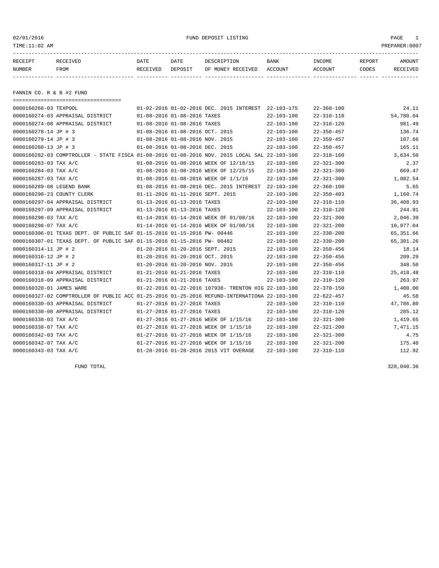| TIME:11:02 AM              |                                                                                              |          |                                  |                                                      |                  |                  |        | PREPARER: 0007 |
|----------------------------|----------------------------------------------------------------------------------------------|----------|----------------------------------|------------------------------------------------------|------------------|------------------|--------|----------------|
| RECEIPT                    | RECEIVED                                                                                     | DATE     | DATE                             | DESCRIPTION                                          | <b>BANK</b>      | INCOME           | REPORT | AMOUNT         |
| NUMBER                     | FROM                                                                                         | RECEIVED | DEPOSIT                          | OF MONEY RECEIVED                                    | ACCOUNT          | ACCOUNT          | CODES  | RECEIVED       |
|                            |                                                                                              |          |                                  |                                                      |                  |                  |        |                |
| FANNIN CO. R & B #2 FUND   |                                                                                              |          |                                  |                                                      |                  |                  |        |                |
|                            | -----------------------------------                                                          |          |                                  |                                                      |                  |                  |        |                |
| 0000160266-03 TEXPOOL      |                                                                                              |          |                                  | 01-02-2016 01-02-2016 DEC. 2015 INTEREST             | 22-103-175       | $22 - 360 - 100$ |        | 24.11          |
|                            | 0000160274-03 APPRAISAL DISTRICT                                                             |          | 01-08-2016 01-08-2016 TAXES      |                                                      | $22 - 103 - 100$ | 22-310-110       |        | 54,780.04      |
|                            | 0000160274-08 APPRAISAL DISTRICT                                                             |          | 01-08-2016 01-08-2016 TAXES      |                                                      | $22 - 103 - 100$ | 22-310-120       |        | 981.49         |
| 0000160278-14 JP # 3       |                                                                                              |          | 01-08-2016 01-08-2016 OCT. 2015  |                                                      | $22 - 103 - 100$ | $22 - 350 - 457$ |        | 136.74         |
| 0000160279-14 JP # 3       |                                                                                              |          | 01-08-2016 01-08-2016 NOV. 2015  |                                                      | $22 - 103 - 100$ | $22 - 350 - 457$ |        | 107.66         |
| 0000160280-13 JP # 3       |                                                                                              |          | 01-08-2016 01-08-2016 DEC. 2015  |                                                      | $22 - 103 - 100$ | $22 - 350 - 457$ |        | 165.11         |
|                            | 0000160282-03 COMPTROLLER - STATE FISCA 01-08-2016 01-08-2016 NOV. 2015 LOCAL SAL 22-103-100 |          |                                  |                                                      |                  | $22 - 318 - 160$ |        | 3,634.50       |
| 0000160283-03 TAX A/C      |                                                                                              |          |                                  | 01-08-2016 01-08-2016 WEEK OF 12/18/15               | $22 - 103 - 100$ | $22 - 321 - 300$ |        | 2.37           |
| 0000160284-03 TAX A/C      |                                                                                              |          |                                  | 01-08-2016 01-08-2016 WEEK OF 12/25/15               | $22 - 103 - 100$ | $22 - 321 - 300$ |        | 669.47         |
| 0000160287-03 TAX A/C      |                                                                                              |          |                                  | 01-08-2016 01-08-2016 WEEK OF 1/1/16                 | $22 - 103 - 100$ | $22 - 321 - 300$ |        | 1,082.54       |
| 0000160289-08 LEGEND BANK  |                                                                                              |          |                                  | 01-08-2016 01-08-2016 DEC. 2015 INTEREST             | $22 - 103 - 100$ | $22 - 360 - 100$ |        | 5.65           |
| 0000160290-23 COUNTY CLERK |                                                                                              |          | 01-11-2016 01-11-2016 SEPT. 2015 |                                                      | $22 - 103 - 100$ | $22 - 350 - 403$ |        | 1,160.74       |
|                            | 0000160297-04 APPRAISAL DISTRICT                                                             |          | 01-13-2016 01-13-2016 TAXES      |                                                      | $22 - 103 - 100$ | $22 - 310 - 110$ |        | 36,408.93      |
|                            | 0000160297-09 APPRAISAL DISTRICT                                                             |          | 01-13-2016 01-13-2016 TAXES      |                                                      | $22 - 103 - 100$ | 22-310-120       |        | 244.91         |
| 0000160298-03 TAX A/C      |                                                                                              |          |                                  | 01-14-2016 01-14-2016 WEEK OF 01/08/16               | $22 - 103 - 100$ | $22 - 321 - 300$ |        | 2,046.39       |
| 0000160298-07 TAX A/C      |                                                                                              |          |                                  | 01-14-2016 01-14-2016 WEEK OF 01/08/16               | $22 - 103 - 100$ | $22 - 321 - 200$ |        | 10,977.04      |
|                            | 0000160306-01 TEXAS DEPT. OF PUBLIC SAF 01-15-2016 01-15-2016 PW- 00446                      |          |                                  |                                                      | $22 - 103 - 100$ | $22 - 330 - 200$ |        | 65,351.66      |
|                            | 0000160307-01 TEXAS DEPT. OF PUBLIC SAF 01-15-2016 01-15-2016 PW- 00482                      |          |                                  |                                                      | $22 - 103 - 100$ | $22 - 330 - 200$ |        | 65,301.26      |
| 0000160314-11 JP # 2       |                                                                                              |          | 01-20-2016 01-20-2016 SEPT. 2015 |                                                      | $22 - 103 - 100$ | $22 - 350 - 456$ |        | 18.14          |
| 0000160316-12 JP # 2       |                                                                                              |          | 01-20-2016 01-20-2016 OCT. 2015  |                                                      | $22 - 103 - 100$ | $22 - 350 - 456$ |        | 209.29         |
| 0000160317-11 JP # 2       |                                                                                              |          | 01-20-2016 01-20-2016 NOV. 2015  |                                                      | $22 - 103 - 100$ | $22 - 350 - 456$ |        | 348.50         |
|                            | 0000160318-04 APPRAISAL DISTRICT                                                             |          | 01-21-2016 01-21-2016 TAXES      |                                                      | $22 - 103 - 100$ | 22-310-110       |        | 25, 418.48     |
|                            | 0000160318-09 APPRAISAL DISTRICT                                                             |          | 01-21-2016 01-21-2016 TAXES      |                                                      | $22 - 103 - 100$ | $22 - 310 - 120$ |        | 263.97         |
| 0000160320-01 JAMES WARE   |                                                                                              |          |                                  | 01-22-2016 01-22-2016 107938- TRENTON HIG 22-103-100 |                  | $22 - 370 - 150$ |        | 1,400.00       |
|                            | 0000160327-02 COMPTROLLER OF PUBLIC ACC 01-25-2016 01-25-2016 REFUND-INTERNATIONA 22-103-100 |          |                                  |                                                      |                  | 22-622-457       |        | 45.58          |
|                            | 0000160330-03 APPRAISAL DISTRICT                                                             |          | 01-27-2016 01-27-2016 TAXES      |                                                      | $22 - 103 - 100$ | $22 - 310 - 110$ |        | 47,786.80      |
|                            | 0000160330-08 APPRAISAL DISTRICT                                                             |          | 01-27-2016 01-27-2016 TAXES      |                                                      | $22 - 103 - 100$ | $22 - 310 - 120$ |        | 285.12         |
| 0000160338-03 TAX A/C      |                                                                                              |          |                                  | 01-27-2016 01-27-2016 WEEK OF 1/15/16                | $22 - 103 - 100$ | $22 - 321 - 300$ |        | 1,419.65       |
| 0000160338-07 TAX A/C      |                                                                                              |          |                                  | 01-27-2016 01-27-2016 WEEK OF 1/15/16                | $22 - 103 - 100$ | 22-321-200       |        | 7,471.15       |
| 0000160342-03 TAX A/C      |                                                                                              |          |                                  | 01-27-2016 01-27-2016 WEEK OF 1/15/16                | $22 - 103 - 100$ | $22 - 321 - 300$ |        | 4.75           |
| 0000160342-07 TAX A/C      |                                                                                              |          |                                  | 01-27-2016 01-27-2016 WEEK OF 1/15/16                | $22 - 103 - 100$ | $22 - 321 - 200$ |        | 175.40         |
| 0000160343-03 TAX A/C      |                                                                                              |          |                                  | 01-28-2016 01-28-2016 2015 VIT OVERAGE               | $22 - 103 - 100$ | $22 - 310 - 110$ |        | 112.92         |

FUND TOTAL 328,040.36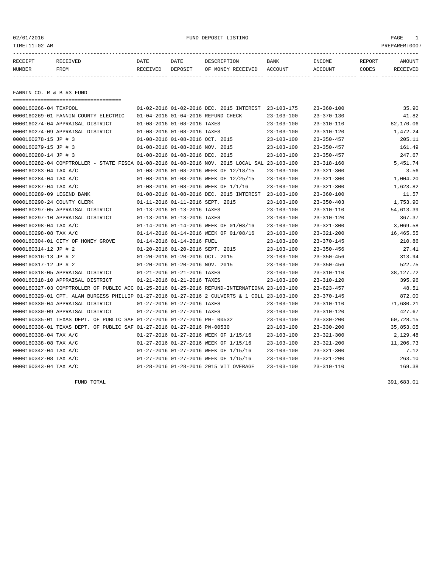| TIME:11:02 AM            |          |          |         |                                          |                  |                  |        | PREPARER:0007 |
|--------------------------|----------|----------|---------|------------------------------------------|------------------|------------------|--------|---------------|
| RECEIPT                  | RECEIVED | DATE     | DATE    | DESCRIPTION                              | BANK             | INCOME           | REPORT | AMOUNT        |
| NUMBER                   | FROM     | RECEIVED | DEPOSIT | OF MONEY RECEIVED                        | ACCOUNT          | ACCOUNT          | CODES  | RECEIVED      |
|                          |          |          |         |                                          |                  |                  |        |               |
| FANNIN CO. R & B #3 FUND |          |          |         |                                          |                  |                  |        |               |
| 0000160266-04 TEXPOOL    |          |          |         | 01-02-2016 01-02-2016 DEC. 2015 INTEREST | $23 - 103 - 175$ | $23 - 360 - 100$ |        | 35.90         |
|                          |          |          |         |                                          |                  |                  |        |               |

| 0000160266-04 TEXPOOL                                                                        |                                    | 01-02-2016 01-02-2016 DEC. 2015 INTEREST 23-103-175 |                  | $23 - 360 - 100$ | 35.90     |
|----------------------------------------------------------------------------------------------|------------------------------------|-----------------------------------------------------|------------------|------------------|-----------|
| 0000160269-01 FANNIN COUNTY ELECTRIC                                                         | 01-04-2016 01-04-2016 REFUND CHECK |                                                     | $23 - 103 - 100$ | $23 - 370 - 130$ | 41.82     |
| 0000160274-04 APPRAISAL DISTRICT                                                             | 01-08-2016 01-08-2016 TAXES        |                                                     | $23 - 103 - 100$ | $23 - 310 - 110$ | 82,170.06 |
| 0000160274-09 APPRAISAL DISTRICT                                                             | 01-08-2016 01-08-2016 TAXES        |                                                     | $23 - 103 - 100$ | $23 - 310 - 120$ | 1,472.24  |
| 0000160278-15 JP # 3                                                                         | 01-08-2016 01-08-2016 OCT. 2015    |                                                     | $23 - 103 - 100$ | $23 - 350 - 457$ | 205.11    |
| 0000160279-15 JP # 3                                                                         | 01-08-2016 01-08-2016 NOV. 2015    |                                                     | $23 - 103 - 100$ | $23 - 350 - 457$ | 161.49    |
| 0000160280-14 JP # 3                                                                         | 01-08-2016 01-08-2016 DEC. 2015    |                                                     | $23 - 103 - 100$ | $23 - 350 - 457$ | 247.67    |
| 0000160282-04 COMPTROLLER - STATE FISCA 01-08-2016 01-08-2016 NOV. 2015 LOCAL SAL 23-103-100 |                                    |                                                     |                  | $23 - 318 - 160$ | 5,451.74  |
| 0000160283-04 TAX A/C                                                                        |                                    | 01-08-2016 01-08-2016 WEEK OF 12/18/15              | $23 - 103 - 100$ | $23 - 321 - 300$ | 3.56      |
| 0000160284-04 TAX A/C                                                                        |                                    | 01-08-2016 01-08-2016 WEEK OF 12/25/15              | $23 - 103 - 100$ | $23 - 321 - 300$ | 1,004.20  |
| 0000160287-04 TAX A/C                                                                        |                                    | 01-08-2016 01-08-2016 WEEK OF 1/1/16                | $23 - 103 - 100$ | $23 - 321 - 300$ | 1,623.82  |
| 0000160289-09 LEGEND BANK                                                                    |                                    | 01-08-2016 01-08-2016 DEC. 2015 INTEREST            | $23 - 103 - 100$ | $23 - 360 - 100$ | 11.57     |
| 0000160290-24 COUNTY CLERK                                                                   | 01-11-2016 01-11-2016 SEPT. 2015   |                                                     | $23 - 103 - 100$ | $23 - 350 - 403$ | 1,753.90  |
| 0000160297-05 APPRAISAL DISTRICT                                                             | 01-13-2016 01-13-2016 TAXES        |                                                     | $23 - 103 - 100$ | $23 - 310 - 110$ | 54,613.39 |
| 0000160297-10 APPRAISAL DISTRICT                                                             | 01-13-2016 01-13-2016 TAXES        |                                                     | $23 - 103 - 100$ | $23 - 310 - 120$ | 367.37    |
| 0000160298-04 TAX A/C                                                                        |                                    | 01-14-2016 01-14-2016 WEEK OF 01/08/16              | $23 - 103 - 100$ | $23 - 321 - 300$ | 3,069.58  |
| 0000160298-08 TAX A/C                                                                        |                                    | 01-14-2016 01-14-2016 WEEK OF 01/08/16              | $23 - 103 - 100$ | $23 - 321 - 200$ | 16,465.55 |
| 0000160304-01 CITY OF HONEY GROVE                                                            | 01-14-2016 01-14-2016 FUEL         |                                                     | $23 - 103 - 100$ | $23 - 370 - 145$ | 210.86    |
| 0000160314-12 JP # 2                                                                         | 01-20-2016 01-20-2016 SEPT. 2015   |                                                     | $23 - 103 - 100$ | $23 - 350 - 456$ | 27.41     |
| 0000160316-13 JP # 2                                                                         | 01-20-2016 01-20-2016 OCT. 2015    |                                                     | $23 - 103 - 100$ | $23 - 350 - 456$ | 313.94    |
| 0000160317-12 JP # 2                                                                         | 01-20-2016 01-20-2016 NOV. 2015    |                                                     | $23 - 103 - 100$ | $23 - 350 - 456$ | 522.75    |
| 0000160318-05 APPRAISAL DISTRICT                                                             | 01-21-2016 01-21-2016 TAXES        |                                                     | $23 - 103 - 100$ | $23 - 310 - 110$ | 38,127.72 |
| 0000160318-10 APPRAISAL DISTRICT                                                             | 01-21-2016 01-21-2016 TAXES        |                                                     | $23 - 103 - 100$ | $23 - 310 - 120$ | 395.96    |
| 0000160327-03 COMPTROLLER OF PUBLIC ACC 01-25-2016 01-25-2016 REFUND-INTERNATIONA 23-103-100 |                                    |                                                     |                  | $23 - 623 - 457$ | 48.51     |
| 0000160329-01 CPT. ALAN BURGESS PHILLIP 01-27-2016 01-27-2016 2 CULVERTS & 1 COLL 23-103-100 |                                    |                                                     |                  | $23 - 370 - 145$ | 872.00    |
| 0000160330-04 APPRAISAL DISTRICT                                                             | 01-27-2016 01-27-2016 TAXES        |                                                     | $23 - 103 - 100$ | $23 - 310 - 110$ | 71,680.21 |
| 0000160330-09 APPRAISAL DISTRICT                                                             | 01-27-2016 01-27-2016 TAXES        |                                                     | $23 - 103 - 100$ | $23 - 310 - 120$ | 427.67    |
| 0000160335-01 TEXAS DEPT. OF PUBLIC SAF 01-27-2016 01-27-2016 PW- 00532                      |                                    |                                                     | $23 - 103 - 100$ | $23 - 330 - 200$ | 60,728.15 |
| 0000160336-01 TEXAS DEPT. OF PUBLIC SAF 01-27-2016 01-27-2016 PW-00530                       |                                    |                                                     | $23 - 103 - 100$ | $23 - 330 - 200$ | 35,853.05 |
| 0000160338-04 TAX A/C                                                                        |                                    | 01-27-2016 01-27-2016 WEEK OF 1/15/16               | $23 - 103 - 100$ | $23 - 321 - 300$ | 2,129.48  |
| 0000160338-08 TAX A/C                                                                        |                                    | 01-27-2016 01-27-2016 WEEK OF 1/15/16               | $23 - 103 - 100$ | $23 - 321 - 200$ | 11,206.73 |
| 0000160342-04 TAX A/C                                                                        |                                    | 01-27-2016 01-27-2016 WEEK OF 1/15/16               | $23 - 103 - 100$ | $23 - 321 - 300$ | 7.12      |
| 0000160342-08 TAX A/C                                                                        |                                    | 01-27-2016 01-27-2016 WEEK OF 1/15/16               | $23 - 103 - 100$ | $23 - 321 - 200$ | 263.10    |
| 0000160343-04 TAX A/C                                                                        |                                    | 01-28-2016 01-28-2016 2015 VIT OVERAGE              | $23 - 103 - 100$ | $23 - 310 - 110$ | 169.38    |
|                                                                                              |                                    |                                                     |                  |                  |           |

FUND TOTAL 391,683.01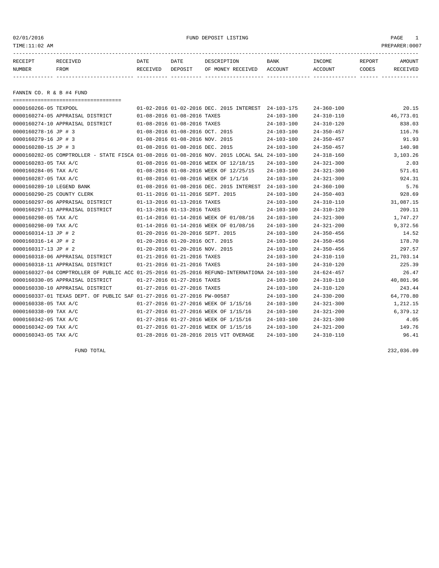| 02/01/2016<br>TIME:11:02 AM |                                                                                              |                             |                                 | FUND DEPOSIT LISTING                                |                  |                          |                 | PAGE<br>1<br>PREPARER:0007 |
|-----------------------------|----------------------------------------------------------------------------------------------|-----------------------------|---------------------------------|-----------------------------------------------------|------------------|--------------------------|-----------------|----------------------------|
| RECEIPT<br>NUMBER           | RECEIVED<br>FROM                                                                             | DATE<br>RECEIVED DEPOSIT    | DATE                            | DESCRIPTION<br>OF MONEY RECEIVED ACCOUNT            | BANK             | INCOME<br><b>ACCOUNT</b> | REPORT<br>CODES | AMOUNT<br>RECEIVED         |
| FANNIN CO. R & B #4 FUND    |                                                                                              |                             |                                 |                                                     |                  |                          |                 |                            |
| 0000160266-05 TEXPOOL       | =====================================                                                        |                             |                                 | 01-02-2016 01-02-2016 DEC. 2015 INTEREST 24-103-175 |                  | $24 - 360 - 100$         |                 | 20.15                      |
|                             | 0000160274-05 APPRAISAL DISTRICT                                                             | 01-08-2016 01-08-2016 TAXES |                                 |                                                     | $24 - 103 - 100$ | $24 - 310 - 110$         |                 | 46,773.01                  |
|                             | 0000160274-10 APPRAISAL DISTRICT                                                             |                             | 01-08-2016 01-08-2016 TAXES     |                                                     | $24 - 103 - 100$ | $24 - 310 - 120$         |                 | 838.03                     |
| 0000160278-16 JP # 3        |                                                                                              |                             | 01-08-2016 01-08-2016 OCT. 2015 |                                                     | $24 - 103 - 100$ | $24 - 350 - 457$         |                 | 116.76                     |
| 0000160279-16 JP # 3        |                                                                                              |                             | 01-08-2016 01-08-2016 NOV. 2015 |                                                     | $24 - 103 - 100$ | $24 - 350 - 457$         |                 | 91.93                      |
| 0000160280-15 JP # 3        |                                                                                              |                             | 01-08-2016 01-08-2016 DEC. 2015 |                                                     | $24 - 103 - 100$ | $24 - 350 - 457$         |                 | 140.98                     |
|                             | 0000160282-05 COMPTROLLER - STATE FISCA 01-08-2016 01-08-2016 NOV. 2015 LOCAL SAL 24-103-100 |                             |                                 |                                                     |                  | 24-318-160               |                 | 3,103.26                   |
| 0000160283-05 TAX A/C       |                                                                                              |                             |                                 | 01-08-2016 01-08-2016 WEEK OF 12/18/15              | 24-103-100       | $24 - 321 - 300$         |                 | 2.03                       |
| 0000160284-05 TAX A/C       |                                                                                              |                             |                                 | 01-08-2016 01-08-2016 WEEK OF 12/25/15              | $24 - 103 - 100$ | $24 - 321 - 300$         |                 | 571.61                     |
| 0000160287-05 TAX A/C       |                                                                                              |                             |                                 | 01-08-2016 01-08-2016 WEEK OF 1/1/16                | $24 - 103 - 100$ | $24 - 321 - 300$         |                 | 924.31                     |
| 0000160289-10 LEGEND BANK   |                                                                                              |                             |                                 | 01-08-2016 01-08-2016 DEC. 2015 INTEREST 24-103-100 |                  | $24 - 360 - 100$         |                 | 5.76                       |
|                             | 0000160290-25 COUNTY CLERK                                                                   |                             |                                 | 01-11-2016 01-11-2016 SEPT. 2015                    | $24 - 103 - 100$ | $24 - 350 - 403$         |                 | 928.69                     |
|                             | 0000160297-06 APPRAISAL DISTRICT                                                             |                             | 01-13-2016 01-13-2016 TAXES     |                                                     | $24 - 103 - 100$ | $24 - 310 - 110$         |                 | 31,087.15                  |
|                             | 0000160297-11 APPRAISAL DISTRICT                                                             |                             | 01-13-2016 01-13-2016 TAXES     |                                                     | $24 - 103 - 100$ | $24 - 310 - 120$         |                 | 209.11                     |
| 0000160298-05 TAX A/C       |                                                                                              |                             |                                 | 01-14-2016 01-14-2016 WEEK OF 01/08/16              | $24 - 103 - 100$ | $24 - 321 - 300$         |                 | 1,747.27                   |
| 0000160298-09 TAX A/C       |                                                                                              |                             |                                 | 01-14-2016 01-14-2016 WEEK OF 01/08/16              | $24 - 103 - 100$ | $24 - 321 - 200$         |                 | 9,372.56                   |
| 0000160314-13 JP # 2        |                                                                                              |                             |                                 | 01-20-2016 01-20-2016 SEPT. 2015                    | $24 - 103 - 100$ | $24 - 350 - 456$         |                 | 14.52                      |
| 0000160316-14 JP # 2        |                                                                                              |                             | 01-20-2016 01-20-2016 OCT. 2015 |                                                     | $24 - 103 - 100$ | $24 - 350 - 456$         |                 | 178.70                     |
| 0000160317-13 JP # 2        |                                                                                              |                             | 01-20-2016 01-20-2016 NOV. 2015 |                                                     | 24-103-100       | $24 - 350 - 456$         |                 | 297.57                     |
|                             | 0000160318-06 APPRAISAL DISTRICT                                                             | 01-21-2016 01-21-2016 TAXES |                                 |                                                     | 24-103-100       | $24 - 310 - 110$         |                 | 21,703.14                  |
|                             | 0000160318-11 APPRAISAL DISTRICT                                                             |                             | 01-21-2016 01-21-2016 TAXES     |                                                     | $24 - 103 - 100$ | $24 - 310 - 120$         |                 | 225.39                     |
|                             | 0000160327-04 COMPTROLLER OF PUBLIC ACC 01-25-2016 01-25-2016 REFUND-INTERNATIONA 24-103-100 |                             |                                 |                                                     |                  | $24 - 624 - 457$         |                 | 26.47                      |
|                             | 0000160330-05 APPRAISAL DISTRICT                                                             |                             | 01-27-2016 01-27-2016 TAXES     |                                                     | $24 - 103 - 100$ | $24 - 310 - 110$         |                 | 40,801.96                  |
|                             | 0000160330-10 APPRAISAL DISTRICT                                                             |                             | 01-27-2016 01-27-2016 TAXES     |                                                     | $24 - 103 - 100$ | $24 - 310 - 120$         |                 | 243.44                     |
|                             | 0000160337-01 TEXAS DEPT. OF PUBLIC SAF 01-27-2016 01-27-2016 PW-00587                       |                             |                                 |                                                     | $24 - 103 - 100$ | $24 - 330 - 200$         |                 | 64,770.80                  |
| 0000160338-05 TAX A/C       |                                                                                              |                             |                                 | 01-27-2016 01-27-2016 WEEK OF 1/15/16               | $24 - 103 - 100$ | $24 - 321 - 300$         |                 | 1,212.15                   |
| 0000160338-09 TAX A/C       |                                                                                              |                             |                                 | 01-27-2016 01-27-2016 WEEK OF 1/15/16               | $24 - 103 - 100$ | $24 - 321 - 200$         |                 | 6,379.12                   |
| 0000160342-05 TAX A/C       |                                                                                              |                             |                                 | 01-27-2016 01-27-2016 WEEK OF 1/15/16               | $24 - 103 - 100$ | $24 - 321 - 300$         |                 | 4.05                       |

0000160342-09 TAX A/C 01-27-2016 01-27-2016 WEEK OF 1/15/16 24-103-100 24-321-200 149.76 0000160343-05 TAX A/C 01-28-2016 01-28-2016 2015 VIT OVERAGE 24-103-100 24-310-110 96.41

FUND TOTAL 232,036.09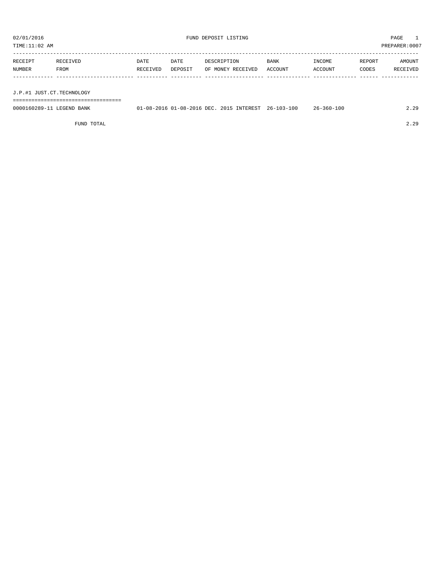TIME:11:02 AM PREPARER:0007

| RECEIPT | RECEIVED | DATE     | DATE    | DESCRIPTION       | <b>BANK</b> | INCOME  | REPORT | AMOUNT   |
|---------|----------|----------|---------|-------------------|-------------|---------|--------|----------|
| NUMBER  | FROM     | RECEIVED | DEPOSIT | OF MONEY RECEIVED | ACCOUNT     | ACCOUNT | CODES  | RECEIVED |
|         |          |          |         |                   |             |         |        |          |
|         |          |          |         |                   |             |         |        |          |

J.P.#1 JUST.CT.TECHNOLOGY

===================================

| 0000160289-11 LEGEND BANK |  | 01-08-2016 01-08-2016 DEC. 2015 INTEREST 26-103-100 | 26-360-100 | 2.29 |
|---------------------------|--|-----------------------------------------------------|------------|------|
|                           |  |                                                     |            |      |

FUND TOTAL 2.29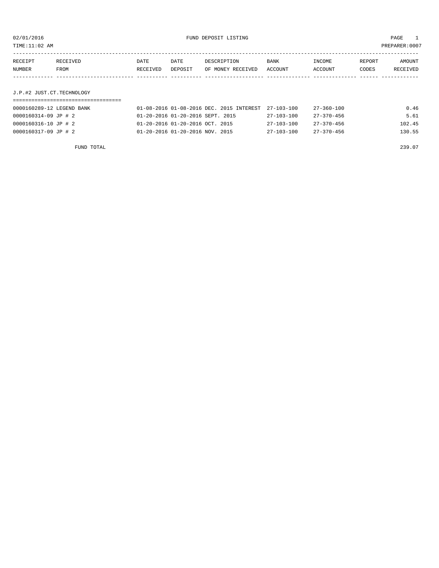TIME:11:02 AM PREPARER:0007

| RECEIPT | RECEIVED    | DATE     | DATE    | DESCRIPTION       | <b>BANK</b> | INCOME  | REPORT | AMOUNT   |
|---------|-------------|----------|---------|-------------------|-------------|---------|--------|----------|
| NUMBER  | <b>FROM</b> | RECEIVED | DEPOSIT | OF MONEY RECEIVED | ACCOUNT     | ACCOUNT | CODES  | RECEIVED |
|         |             |          |         |                   |             |         |        |          |
|         |             |          |         |                   |             |         |        |          |

## J.P.#2 JUST.CT.TECHNOLOGY

| 0000160289-12 LEGEND BANK | 01-08-2016 01-08-2016 DEC. 2015 INTEREST 27-103-100 |                  | 27-360-100       | 0.46   |
|---------------------------|-----------------------------------------------------|------------------|------------------|--------|
| 0000160314-09 JP # 2      | 01-20-2016 01-20-2016 SEPT. 2015                    | 27-103-100       | 27-370-456       | 5.61   |
| 0000160316-10 JP # 2      | 01-20-2016 01-20-2016 OCT, 2015                     | $27 - 103 - 100$ | $27 - 370 - 456$ | 102.45 |
| 0000160317-09 JP # 2      | 01-20-2016 01-20-2016 NOV. 2015                     | $27 - 103 - 100$ | $27 - 370 - 456$ | 130.55 |

FUND TOTAL 239.07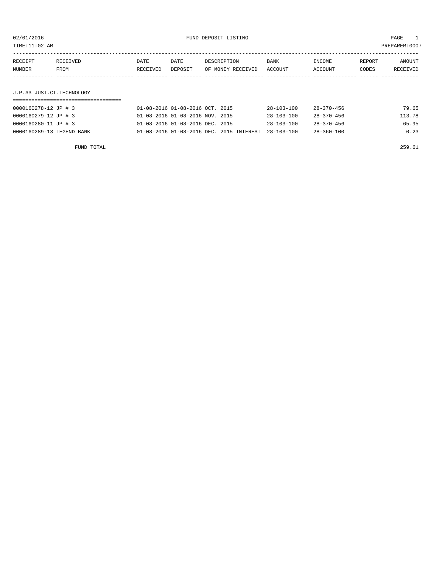TIME:11:02 AM PREPARER:0007

| RECEIPT | RECEIVED | DATE     | DATE    | DESCRIPTION       | <b>BANK</b> | INCOME  | REPORT | AMOUNT   |
|---------|----------|----------|---------|-------------------|-------------|---------|--------|----------|
| NUMBER  | FROM     | RECEIVED | DEPOSIT | OF MONEY RECEIVED | ACCOUNT     | ACCOUNT | CODES  | RECEIVED |
|         |          |          |         |                   |             |         |        |          |
|         |          |          |         |                   |             |         |        |          |

### J.P.#3 JUST.CT.TECHNOLOGY

| 0000160278-12 JP # 3      | 01-08-2016 01-08-2016 OCT. 2015                     | 28-103-100       | 28-370-456       | 79.65  |
|---------------------------|-----------------------------------------------------|------------------|------------------|--------|
| 0000160279-12 JP # 3      | 01-08-2016 01-08-2016 NOV. 2015                     | $28 - 103 - 100$ | 28-370-456       | 113.78 |
| 0000160280-11 JP # 3      | 01-08-2016 01-08-2016 DEC. 2015                     | $28 - 103 - 100$ | $28 - 370 - 456$ | 65.95  |
| 0000160289-13 LEGEND BANK | 01-08-2016 01-08-2016 DEC. 2015 INTEREST 28-103-100 |                  | $28 - 360 - 100$ | 0.23   |

FUND TOTAL 259.61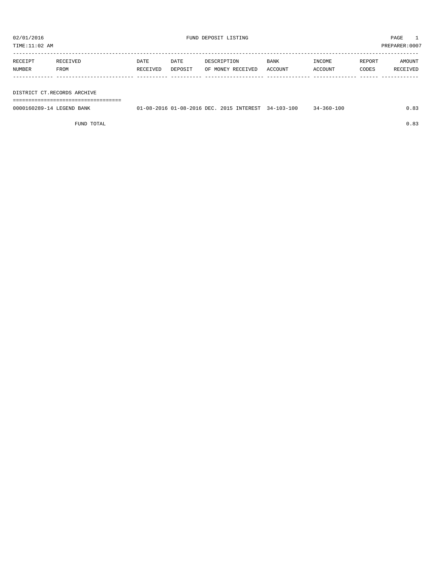TIME:11:02 AM PREPARER:0007

| RECEIPT | <b>RECEIVED</b> | DATE     | DATE    | DESCRIPTION       | <b>BANK</b> | INCOME  | REPORT | AMOUNT   |
|---------|-----------------|----------|---------|-------------------|-------------|---------|--------|----------|
| NUMBER  | FROM            | RECEIVED | DEPOSIT | OF MONEY RECEIVED | ACCOUNT     | ACCOUNT | CODES  | RECEIVED |
|         |                 |          |         |                   |             |         |        |          |

#### DISTRICT CT.RECORDS ARCHIVE

===================================

| 0000160289-14 LEGEND BANK | 01-08-2016 01-08-2016 DEC, 2015 INTEREST 34-103-100 |  | $34 - 360 - 100$ |  |
|---------------------------|-----------------------------------------------------|--|------------------|--|
|                           |                                                     |  |                  |  |

FUND TOTAL  $0.83$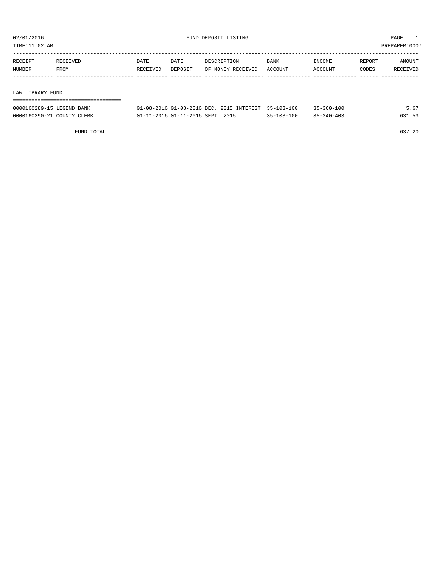| TIME:11:02 AM    |          |          |         |                   |             |         |        | PREPARER: 0007 |
|------------------|----------|----------|---------|-------------------|-------------|---------|--------|----------------|
| RECEIPT          | RECEIVED | DATE     | DATE    | DESCRIPTION       | <b>BANK</b> | INCOME  | REPORT | AMOUNT         |
| NUMBER           | FROM     | RECEIVED | DEPOSIT | OF MONEY RECEIVED | ACCOUNT     | ACCOUNT | CODES  | RECEIVED       |
|                  |          |          |         |                   |             |         |        |                |
| LAW LIBRARY FUND |          |          |         |                   |             |         |        |                |
|                  |          |          |         |                   |             |         |        |                |

| 0000160289-15 LEGEND BANK  | 01-08-2016 01-08-2016 DEC, 2015 INTEREST 35-103-100 |                  | $35 - 360 - 100$ |  |
|----------------------------|-----------------------------------------------------|------------------|------------------|--|
| 0000160290-21 COUNTY CLERK | 01-11-2016 01-11-2016 SEPT, 2015                    | $35 - 103 - 100$ | $35 - 340 - 403$ |  |

FUND TOTAL 637.20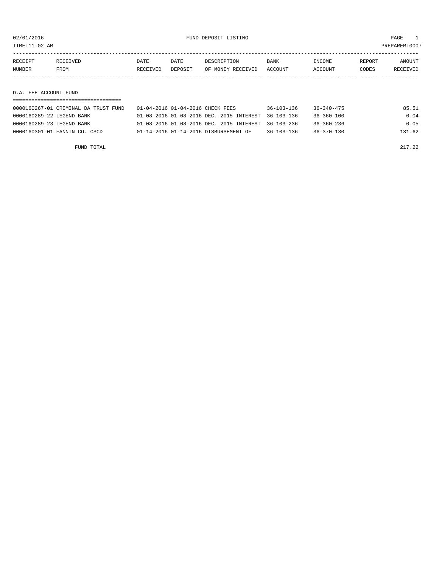TIME:11:02 AM PREPARER:0007

| RECEIPT | RECEIVED | DATE     | DATE    | DESCRIPTION       | <b>BANK</b> | INCOME         | REPORT | AMOUNT   |
|---------|----------|----------|---------|-------------------|-------------|----------------|--------|----------|
| NUMBER  | FROM     | RECEIVED | DEPOSIT | OF MONEY RECEIVED | ACCOUNT     | <b>ACCOUNT</b> | CODES  | RECEIVED |
|         |          |          |         |                   |             |                |        |          |
|         |          |          |         |                   |             |                |        |          |

#### D.A. FEE ACCOUNT FUND

| 0000160267-01 CRIMINAL DA TRUST FUND | 01-04-2016 01-04-2016 CHECK FEES                    | $36 - 103 - 136$ | 36-340-475       | 85.51  |
|--------------------------------------|-----------------------------------------------------|------------------|------------------|--------|
| 0000160289-22 LEGEND BANK            | 01-08-2016 01-08-2016 DEC. 2015 INTEREST 36-103-136 |                  | 36-360-100       | 0.04   |
| 0000160289-23 LEGEND BANK            | 01-08-2016 01-08-2016 DEC. 2015 INTEREST 36-103-236 |                  | $36 - 360 - 236$ | 0.05   |
| 0000160301-01 FANNIN CO. CSCD        | 01-14-2016 01-14-2016 DISBURSEMENT OF               | $36 - 103 - 136$ | $36 - 370 - 130$ | 131.62 |

FUND TOTAL 22 POINT 2020 2017 . 22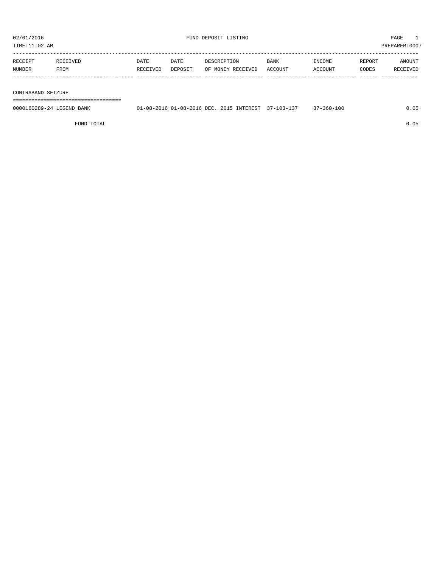| 02/01/2016<br>FUND DEPOSIT LISTING<br>TIME:11:02 AM |          |          |         |                   |             | PAGE<br>PREPARER: 0007 |        |          |
|-----------------------------------------------------|----------|----------|---------|-------------------|-------------|------------------------|--------|----------|
|                                                     |          |          |         |                   |             |                        |        |          |
| RECEIPT                                             | RECEIVED | DATE     | DATE    | DESCRIPTION       | <b>BANK</b> | INCOME                 | REPORT | AMOUNT   |
| NUMBER                                              | FROM     | RECEIVED | DEPOSIT | OF MONEY RECEIVED | ACCOUNT     | ACCOUNT                | CODES  | RECEIVED |
|                                                     |          |          |         |                   |             |                        |        |          |
|                                                     |          |          |         |                   |             |                        |        |          |
| CONTRABAND SEIZURE                                  |          |          |         |                   |             |                        |        |          |

===================================

| 0000160289-24 LEGEND<br>BANK | ິດຂ່າວດ1 6 | 1-08-2016 DEC.<br>- ^ 1 | 5 INTEREST<br>2015 | 10 <sup>2</sup><br>$10.5 -$ | $-360 - 100$ |  |
|------------------------------|------------|-------------------------|--------------------|-----------------------------|--------------|--|
|                              |            |                         |                    |                             |              |  |

FUND TOTAL 0.05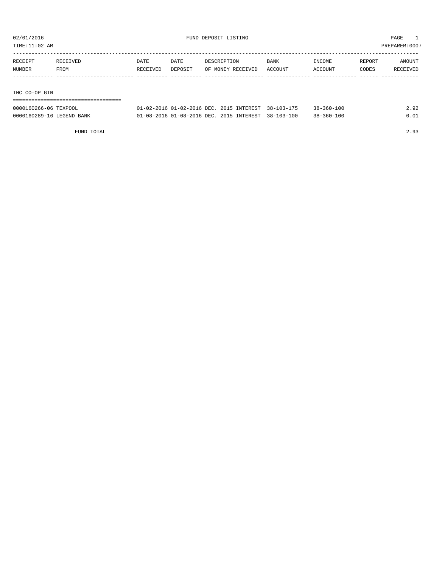TIME:11:02 AM PREPARER:0007

| RECEIPT       | RECEIVED | <b>DATE</b> | DATE    | DESCRIPTION       | <b>BANK</b> | INCOME  | REPORT | AMOUNT   |
|---------------|----------|-------------|---------|-------------------|-------------|---------|--------|----------|
| NUMBER        | FROM     | RECEIVED    | DEPOSIT | OF MONEY RECEIVED | ACCOUNT     | ACCOUNT | CODES  | RECEIVED |
|               |          |             |         |                   |             |         |        |          |
|               |          |             |         |                   |             |         |        |          |
| IHC CO-OP GIN |          |             |         |                   |             |         |        |          |

===================================

| 0000160266-06 TEXPOOL     | 01-02-2016 01-02-2016 DEC. 2015 INTEREST 38-103-175 |  | $38 - 360 - 100$ | 2.92 |
|---------------------------|-----------------------------------------------------|--|------------------|------|
| 0000160289-16 LEGEND BANK | 01-08-2016 01-08-2016 DEC. 2015 INTEREST 38-103-100 |  | $38 - 360 - 100$ | 0.01 |

FUND TOTAL 2.93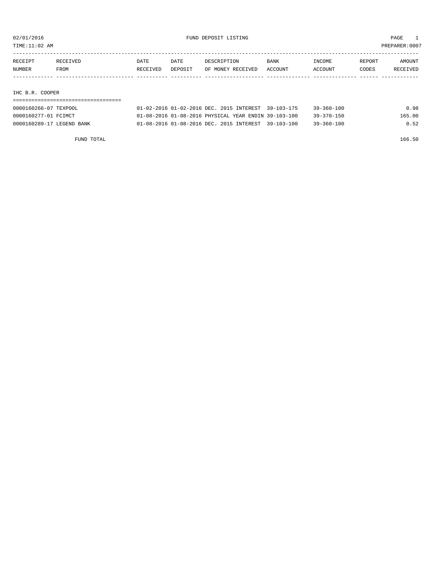TIME:11:02 AM PREPARER:0007

| RECEIPT | RECEIVED | DATE     | DATE    | DESCRIPTION       | <b>BANK</b> | INCOME  | REPORT | AMOUNT   |
|---------|----------|----------|---------|-------------------|-------------|---------|--------|----------|
| NUMBER  | FROM     | RECEIVED | DEPOSIT | OF MONEY RECEIVED | ACCOUNT     | ACCOUNT | CODES  | RECEIVED |
|         |          |          |         |                   |             |         |        |          |

#### IHC B.R. COOPER

| 0000160266-07 TEXPOOL     | 01-02-2016 01-02-2016 DEC. 2015 INTEREST 39-103-175  | 39-360-100       | 0.98   |
|---------------------------|------------------------------------------------------|------------------|--------|
| 0000160277-01 FCIMCT      | 01-08-2016 01-08-2016 PHYSICAL YEAR ENDIN 39-103-100 | $39 - 370 - 150$ | 165.00 |
| 0000160289-17 LEGEND BANK | 01-08-2016 01-08-2016 DEC. 2015 INTEREST 39-103-100  | $39 - 360 - 100$ | 0.52   |

FUND TOTAL 166.50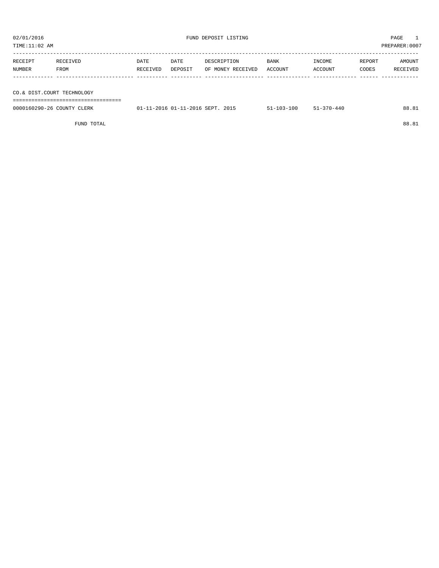| TIME:11:02 AM |                            |          |         |                   |         |         | PREPARER:0007 |          |  |  |
|---------------|----------------------------|----------|---------|-------------------|---------|---------|---------------|----------|--|--|
| RECEIPT       | RECEIVED                   | DATE     | DATE    | DESCRIPTION       | BANK    | INCOME  | REPORT        | AMOUNT   |  |  |
| NUMBER        | FROM                       | RECEIVED | DEPOSIT | OF MONEY RECEIVED | ACCOUNT | ACCOUNT | CODES         | RECEIVED |  |  |
|               |                            |          |         |                   |         |         |               |          |  |  |
|               | CO.& DIST.COURT TECHNOLOGY |          |         |                   |         |         |               |          |  |  |
|               |                            |          |         |                   |         |         |               |          |  |  |

| 0000160290-26<br>CLERK<br>COUNTY | U - 2016 CFDT<br>ົດ ດ.1 | 201K | ຳ ຕຳ<br>100 | $0 - 44C$<br>- 770 - | 88.ം. |
|----------------------------------|-------------------------|------|-------------|----------------------|-------|
|                                  |                         |      |             |                      |       |

FUND TOTAL 88.81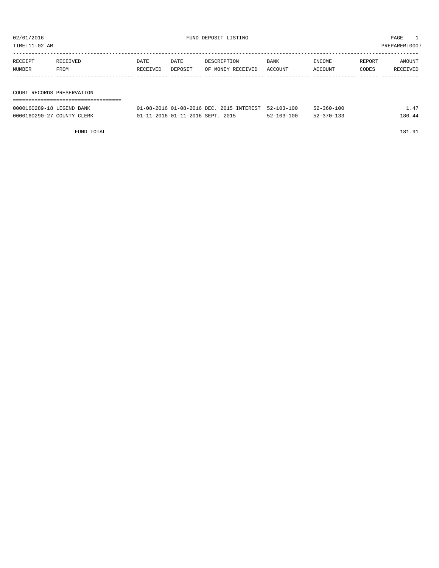TIME:11:02 AM PREPARER:0007

| RECEIPT | RECEIVED                   | DATE     | DATE    | DESCRIPTION       | <b>BANK</b> | INCOME  | REPORT | AMOUNT   |  |
|---------|----------------------------|----------|---------|-------------------|-------------|---------|--------|----------|--|
| NUMBER  | FROM                       | RECEIVED | DEPOSIT | OF MONEY RECEIVED | ACCOUNT     | ACCOUNT | CODES  | RECEIVED |  |
|         |                            |          |         |                   |             |         |        |          |  |
|         |                            |          |         |                   |             |         |        |          |  |
|         | COURT RECORDS PRESERVATION |          |         |                   |             |         |        |          |  |
|         |                            |          |         |                   |             |         |        |          |  |

| 0000160289-18 LEGEND BANK  | 01-08-2016 01-08-2016 DEC, 2015 INTEREST 52-103-100 |                  | $52 - 360 - 100$ | .47    |
|----------------------------|-----------------------------------------------------|------------------|------------------|--------|
| 0000160290-27 COUNTY CLERK | 01-11-2016 01-11-2016 SEPT. 2015                    | $52 - 103 - 100$ | $52 - 370 - 133$ | 180.44 |

FUND TOTAL 181.91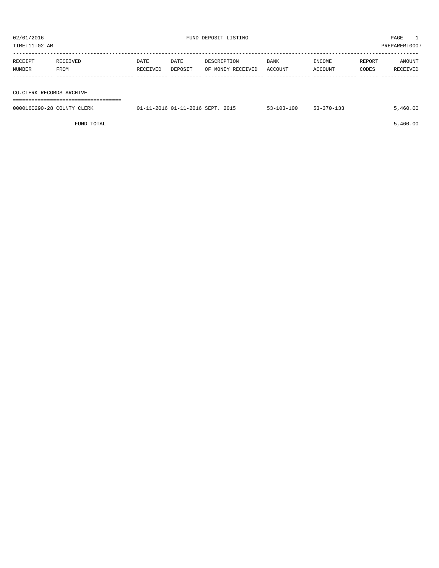| TIME:11:02 AM |                          |          |         |                   |             |         | PREPARER:0007 |          |  |
|---------------|--------------------------|----------|---------|-------------------|-------------|---------|---------------|----------|--|
| RECEIPT       | RECEIVED                 | DATE     | DATE    | DESCRIPTION       | <b>BANK</b> | INCOME  | REPORT        | AMOUNT   |  |
| NUMBER        | FROM                     | RECEIVED | DEPOSIT | OF MONEY RECEIVED | ACCOUNT     | ACCOUNT | CODES         | RECEIVED |  |
|               |                          |          |         |                   |             |         |               |          |  |
|               | CO.CLERK RECORDS ARCHIVE |          |         |                   |             |         |               |          |  |
|               |                          |          |         |                   |             |         |               |          |  |

| 0000160290-28 COUNTY CLERK | 01-11-2016 01-11-2016 SEPT, 2015 | $53 - 103 - 100$ | $53 - 370 - 133$ | - 460.00 |
|----------------------------|----------------------------------|------------------|------------------|----------|
|                            |                                  |                  |                  |          |

 $FUND$  TOTAL  $5,460.00$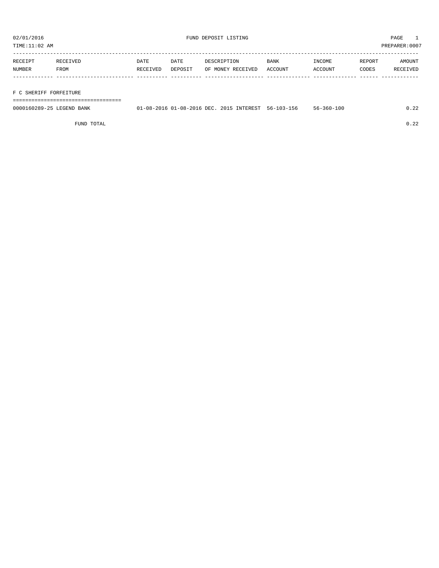TIME:11:02 AM PREPARER:0007

| RECEIPT | RECEIVED | <b>DATE</b> | DATE    | DESCRIPTION       | <b>BANK</b> | INCOME  | REPORT | AMOUNT   |
|---------|----------|-------------|---------|-------------------|-------------|---------|--------|----------|
| NUMBER  | FROM     | RECEIVED    | DEPOSIT | OF MONEY RECEIVED | ACCOUNT     | ACCOUNT | CODES  | RECEIVED |
|         |          |             |         |                   |             |         |        |          |
|         |          |             |         |                   |             |         |        |          |

#### F C SHERIFF FORFEITURE

===================================

| 0000160289-25 LEGEND BANK | 01-08-2016 01-08-2016 DEC. 2015 INTEREST 56-103-156 |  | $56 - 360 - 100$ | ົດດ<br>. 44 |
|---------------------------|-----------------------------------------------------|--|------------------|-------------|
|                           |                                                     |  |                  |             |

FUND TOTAL 0.22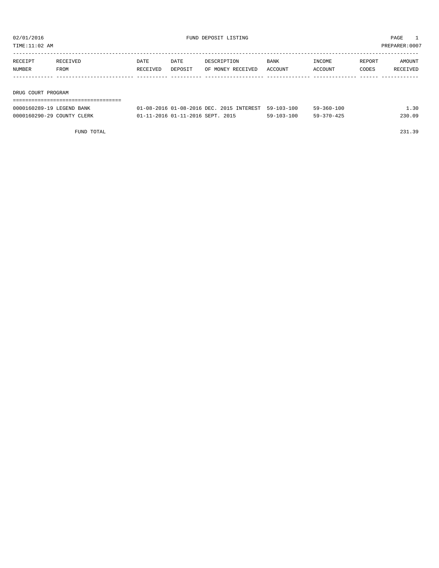| TIME:11:02 AM |                    |             |         |                   |         |         |        | PREPARER:0007 |
|---------------|--------------------|-------------|---------|-------------------|---------|---------|--------|---------------|
| RECEIPT       | RECEIVED           | <b>DATE</b> | DATE    | DESCRIPTION       | BANK    | INCOME  | REPORT | AMOUNT        |
| NUMBER        | FROM               | RECEIVED    | DEPOSIT | OF MONEY RECEIVED | ACCOUNT | ACCOUNT | CODES  | RECEIVED      |
|               |                    |             |         |                   |         |         |        |               |
|               | DRUG COURT PROGRAM |             |         |                   |         |         |        |               |
|               |                    |             |         |                   |         |         |        |               |

| 0000160289-19 LEGEND BANK  | 01-08-2016 01-08-2016 DEC. 2015 INTEREST 59-103-100 |                  | $59 - 360 - 100$ | . . 30 |
|----------------------------|-----------------------------------------------------|------------------|------------------|--------|
| 0000160290-29 COUNTY CLERK | 01-11-2016 01-11-2016 SEPT. 2015                    | $59 - 103 - 100$ | $59 - 370 - 425$ | 230.09 |

FUND TOTAL 231.39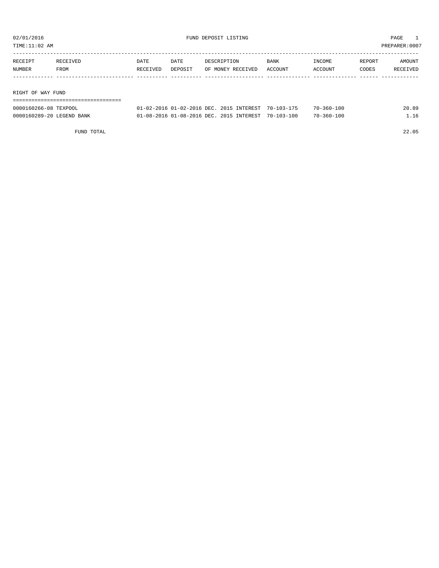TIME:11:02 AM PREPARER:0007

| RECEIPT           | RECEIVED | DATE     | DATE    | DESCRIPTION       | BANK    | INCOME  | REPORT | AMOUNT   |
|-------------------|----------|----------|---------|-------------------|---------|---------|--------|----------|
| NUMBER            | FROM     | RECEIVED | DEPOSIT | OF MONEY RECEIVED | ACCOUNT | ACCOUNT | CODES  | RECEIVED |
|                   |          |          |         |                   |         |         |        |          |
|                   |          |          |         |                   |         |         |        |          |
| RIGHT OF WAY FUND |          |          |         |                   |         |         |        |          |

| --------------------      |                                                             |  |                  |       |
|---------------------------|-------------------------------------------------------------|--|------------------|-------|
| 0000160266-08 TEXPOOL     | $01-02-2016$ $01-02-2016$ DEC, $2015$ INTEREST $70-103-175$ |  | 70-360-100       | 20.89 |
| 0000160289-20 LEGEND BANK | 01-08-2016 01-08-2016 DEC. 2015 INTEREST 70-103-100         |  | $70 - 360 - 100$ | 16    |

FUND TOTAL 22.05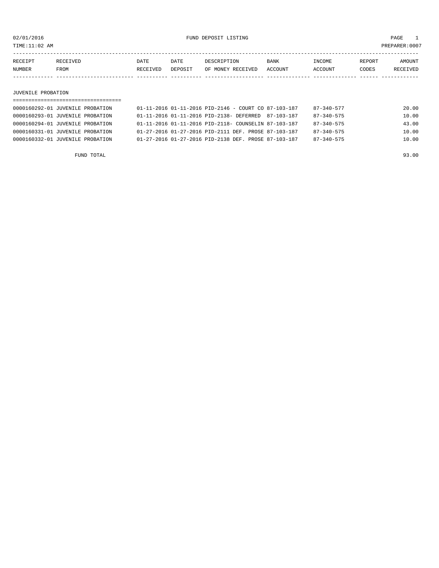TIME:11:02 AM PREPARER:0007

----------------------------------------------------------------------------------------------------------------------------------- RECEIPT RECEIVED DATE DATE DESCRIPTION BANK INCOME REPORT AMOUNT NUMBER FROM RECEIVED DEPOSIT OF MONEY RECEIVED ACCOUNT ACCOUNT CODES RECEIVED ------------- ------------------------- ---------- ---------- ------------------- -------------- -------------- ------ ------------

JUVENILE PROBATION

| =============================    |                                                          |                  |       |
|----------------------------------|----------------------------------------------------------|------------------|-------|
| 0000160292-01 JUVENILE PROBATION | $01-11-2016$ $01-11-2016$ PID-2146 - COURT CO 87-103-187 | $87 - 340 - 577$ | 20.00 |
| 0000160293-01 JUVENILE PROBATION | 01-11-2016 01-11-2016 PID-2138- DEFERRED 87-103-187      | $87 - 340 - 575$ | 10.00 |
| 0000160294-01 JUVENILE PROBATION | 01-11-2016 01-11-2016 PID-2118- COUNSELIN 87-103-187     | $87 - 340 - 575$ | 43.00 |
| 0000160331-01 JUVENILE PROBATION | 01-27-2016 01-27-2016 PID-2111 DEF. PROSE 87-103-187     | $87 - 340 - 575$ | 10.00 |
| 0000160332-01 JUVENILE PROBATION | 01-27-2016 01-27-2016 PID-2138 DEF. PROSE 87-103-187     | $87 - 340 - 575$ | 10.00 |
|                                  |                                                          |                  |       |

FUND TOTAL 93.00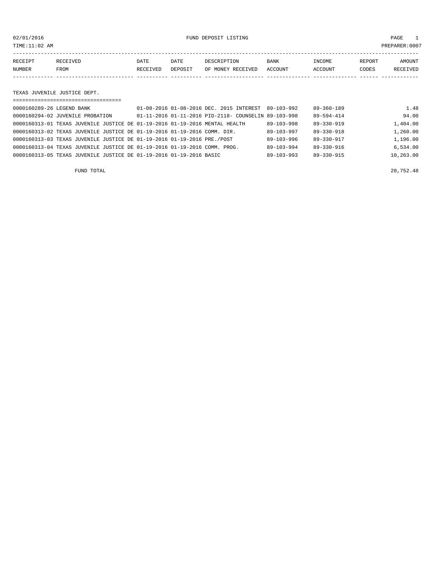02/01/2016 FUND DEPOSIT LISTING PAGE 1

| RECEIPT | RECEIVED | DATE     | DATE    | DESCRIPTION       | <b>BANK</b> | INCOME  | <b>REPORT</b> | AMOUNT          |
|---------|----------|----------|---------|-------------------|-------------|---------|---------------|-----------------|
| NUMBER  | FROM     | RECEIVED | DEPOSIT | OF MONEY RECEIVED | ACCOUNT     | ACCOUNT | CODES         | <b>RECEIVED</b> |
|         |          |          |         |                   |             |         |               |                 |

#### TEXAS JUVENILE JUSTICE DEPT.

| =================================                                           |                                                      |                  |                  |           |
|-----------------------------------------------------------------------------|------------------------------------------------------|------------------|------------------|-----------|
| 0000160289-26 LEGEND BANK                                                   | 01-08-2016 01-08-2016 DEC. 2015 INTEREST 89-103-992  |                  | $89 - 360 - 189$ | 1.48      |
| 0000160294-02 JUVENILE PROBATION                                            | 01-11-2016 01-11-2016 PID-2118- COUNSELIN 89-103-998 |                  | $89 - 594 - 414$ | 94.00     |
| 0000160313-01 TEXAS JUVENILE JUSTICE DE 01-19-2016 01-19-2016 MENTAL HEALTH |                                                      | $89 - 103 - 998$ | $89 - 330 - 919$ | 1,404.00  |
| 0000160313-02 TEXAS JUVENILE JUSTICE DE 01-19-2016 01-19-2016 COMM. DIR.    |                                                      | $89 - 103 - 997$ | $89 - 330 - 918$ | 1,260.00  |
| 0000160313-03 TEXAS JUVENILE JUSTICE DE 01-19-2016 01-19-2016 PRE./POST     |                                                      | $89 - 103 - 996$ | $89 - 330 - 917$ | 1,196.00  |
| 0000160313-04 TEXAS JUVENILE JUSTICE DE 01-19-2016 01-19-2016 COMM. PROG.   |                                                      | $89 - 103 - 994$ | 89-330-916       | 6.534.00  |
| 0000160313-05 TEXAS JUVENILE JUSTICE DE 01-19-2016 01-19-2016 BASIC         |                                                      | $89 - 103 - 993$ | $89 - 330 - 915$ | 10,263.00 |

FUND TOTAL 20,752.48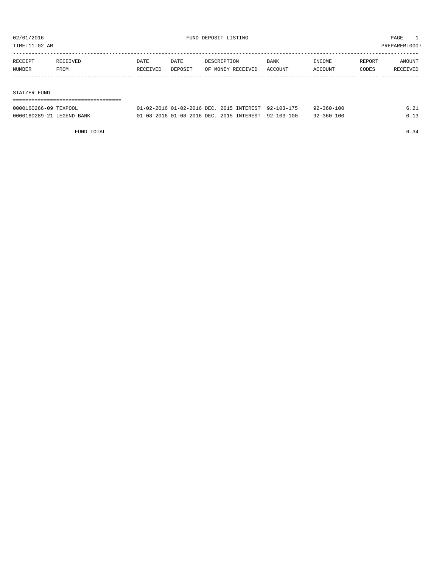TIME:11:02 AM PREPARER:0007

| RECEIPT | RECEIVED | DATE     | DATE    | DESCRIPTION       | <b>BANK</b> | INCOME  | REPORT | AMOUNT   |
|---------|----------|----------|---------|-------------------|-------------|---------|--------|----------|
| NUMBER  | FROM     | RECEIVED | DEPOSIT | OF MONEY RECEIVED | ACCOUNT     | ACCOUNT | CODES  | RECEIVED |
|         |          |          |         |                   |             |         |        |          |

#### STATZER FUND

| 0000160266-09 TEXPOOL     | 01-02-2016 01-02-2016 DEC. 2015 INTEREST 92-103-175 |  | 92-360-100       | 6.21 |
|---------------------------|-----------------------------------------------------|--|------------------|------|
| 0000160289-21 LEGEND BANK | 01-08-2016 01-08-2016 DEC. 2015 INTEREST 92-103-100 |  | $92 - 360 - 100$ | 0.13 |

FUND TOTAL  $6.34$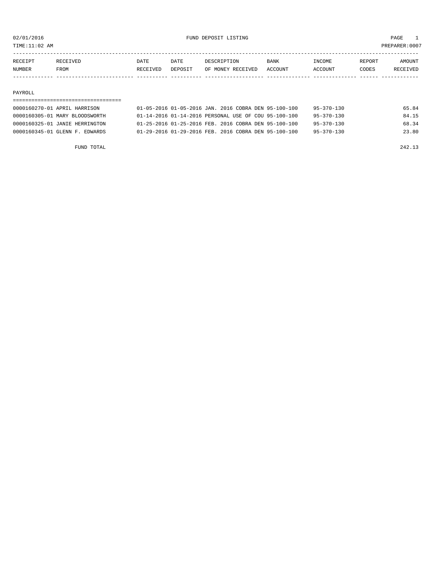TIME:11:02 AM PREPARER:0007

| RECEIPT       | RECEIVED    | DATE     | <b>DATE</b> | DESCRIPTION       | <b>BANK</b> | <b>TNCOME</b>  | REPORT | AMOUNT          |
|---------------|-------------|----------|-------------|-------------------|-------------|----------------|--------|-----------------|
| <b>NUMBER</b> | <b>FROM</b> | RECEIVED | DEPOSIT     | OF MONEY RECEIVED | ACCOUNT     | <b>ACCOUNT</b> | CODES  | <b>RECEIVED</b> |
|               |             |          |             |                   |             |                |        |                 |

#### PAYROLL

### ===================================

| 0000160270-01 APRIL HARRISON   | 01-05-2016 01-05-2016 JAN. 2016 COBRA DEN 95-100-100 | $95 - 370 - 130$ | 65.84 |
|--------------------------------|------------------------------------------------------|------------------|-------|
| 0000160305-01 MARY BLOODSWORTH | 01-14-2016 01-14-2016 PERSONAL USE OF COU 95-100-100 | $95 - 370 - 130$ | 84.15 |
| 0000160325-01 JANIE HERRINGTON | 01-25-2016 01-25-2016 FEB. 2016 COBRA DEN 95-100-100 | $95 - 370 - 130$ | 68.34 |
| 0000160345-01 GLENN F. EDWARDS | 01-29-2016 01-29-2016 FEB. 2016 COBRA DEN 95-100-100 | $95 - 370 - 130$ | 23.80 |

FUND TOTAL 242.13